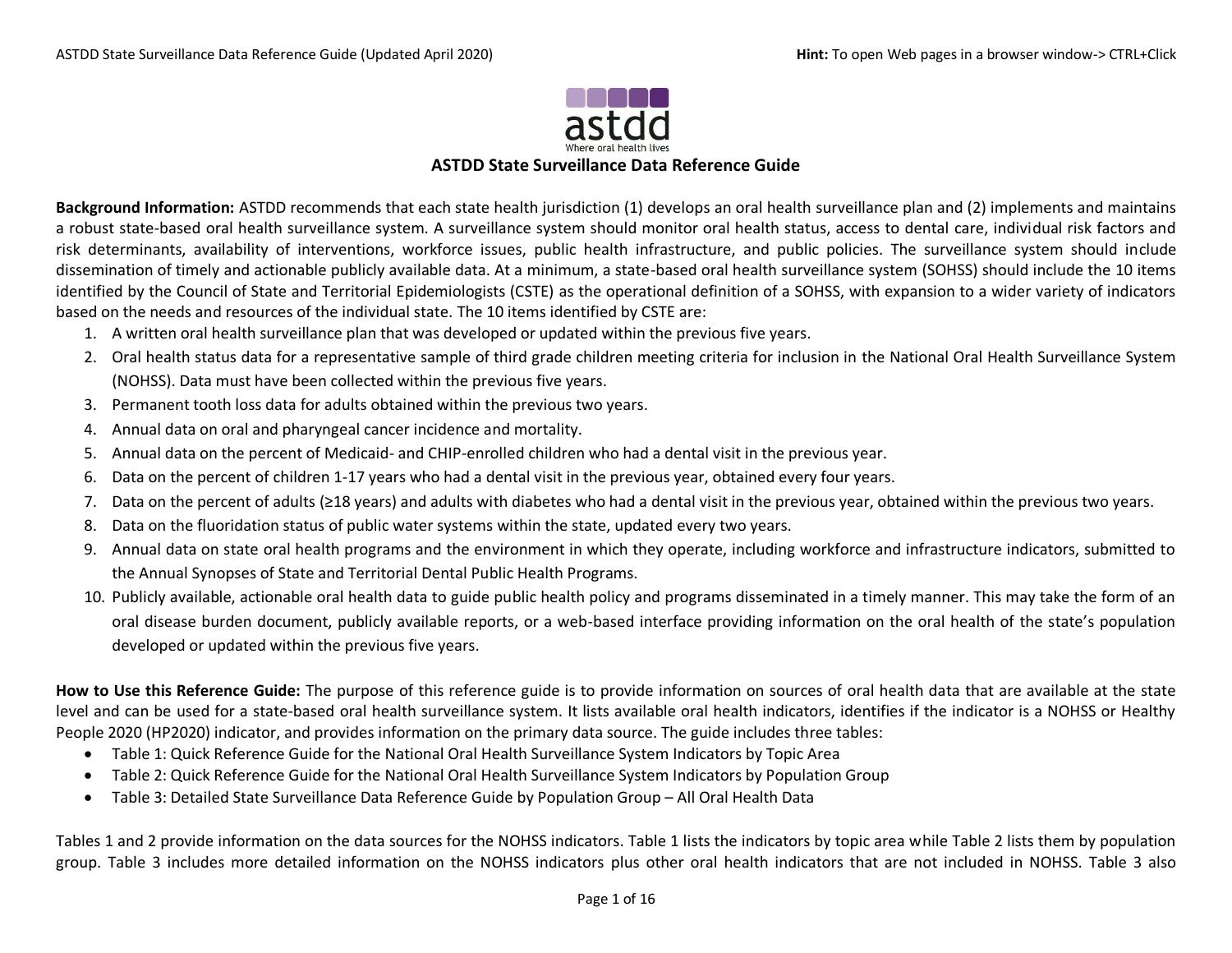

### **ASTDD State Surveillance Data Reference Guide**

**Background Information:** ASTDD recommends that each state health jurisdiction (1) develops an oral health surveillance plan and (2) implements and maintains a robust state-based oral health surveillance system. A surveillance system should monitor oral health status, access to dental care, individual risk factors and risk determinants, availability of interventions, workforce issues, public health infrastructure, and public policies. The surveillance system should include dissemination of timely and actionable publicly available data. At a minimum, a state-based oral health surveillance system (SOHSS) should include the 10 items identified by the Council of State and Territorial Epidemiologists (CSTE) as the operational definition of a SOHSS, with expansion to a wider variety of indicators based on the needs and resources of the individual state. The 10 items identified by CSTE are:

- 1. A written oral health surveillance plan that was developed or updated within the previous five years.
- 2. Oral health status data for a representative sample of third grade children meeting criteria for inclusion in the National Oral Health Surveillance System (NOHSS). Data must have been collected within the previous five years.
- 3. Permanent tooth loss data for adults obtained within the previous two years.
- 4. Annual data on oral and pharyngeal cancer incidence and mortality.
- 5. Annual data on the percent of Medicaid- and CHIP-enrolled children who had a dental visit in the previous year.
- 6. Data on the percent of children 1-17 years who had a dental visit in the previous year, obtained every four years.
- 7. Data on the percent of adults (≥18 years) and adults with diabetes who had a dental visit in the previous year, obtained within the previous two years.
- 8. Data on the fluoridation status of public water systems within the state, updated every two years.
- 9. Annual data on state oral health programs and the environment in which they operate, including workforce and infrastructure indicators, submitted to the Annual Synopses of State and Territorial Dental Public Health Programs.
- 10. Publicly available, actionable oral health data to guide public health policy and programs disseminated in a timely manner. This may take the form of an oral disease burden document, publicly available reports, or a web-based interface providing information on the oral health of the state's population developed or updated within the previous five years.

**How to Use this Reference Guide:** The purpose of this reference guide is to provide information on sources of oral health data that are available at the state level and can be used for a state-based oral health surveillance system. It lists available oral health indicators, identifies if the indicator is a NOHSS or Healthy People 2020 (HP2020) indicator, and provides information on the primary data source. The guide includes three tables:

- Table 1: Quick Reference Guide for the National Oral Health Surveillance System Indicators by Topic Area
- Table 2: Quick Reference Guide for the National Oral Health Surveillance System Indicators by Population Group
- Table 3: Detailed State Surveillance Data Reference Guide by Population Group All Oral Health Data

Tables 1 and 2 provide information on the data sources for the NOHSS indicators. Table 1 lists the indicators by topic area while Table 2 lists them by population group. Table 3 includes more detailed information on the NOHSS indicators plus other oral health indicators that are not included in NOHSS. Table 3 also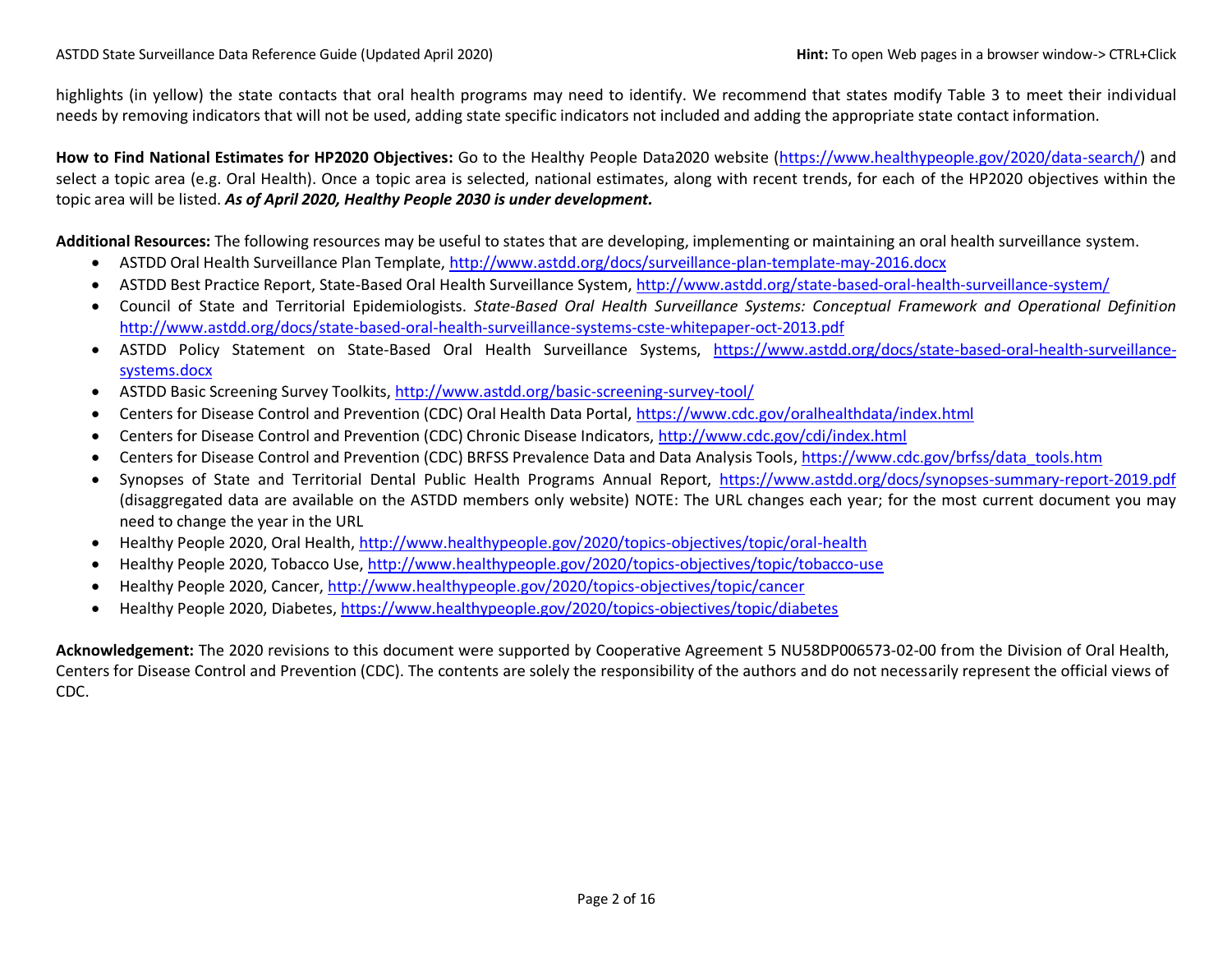highlights (in yellow) the state contacts that oral health programs may need to identify. We recommend that states modify Table 3 to meet their individual needs by removing indicators that will not be used, adding state specific indicators not included and adding the appropriate state contact information.

**How to Find National Estimates for HP2020 Objectives:** Go to the Healthy People Data2020 website [\(https://www.healthypeople.gov/2020/data-search/\)](https://www.healthypeople.gov/2020/data-search/) and select a topic area (e.g. Oral Health). Once a topic area is selected, national estimates, along with recent trends, for each of the HP2020 objectives within the topic area will be listed. *As of April 2020, Healthy People 2030 is under development.*

**Additional Resources:** The following resources may be useful to states that are developing, implementing or maintaining an oral health surveillance system.

- ASTDD Oral Health Surveillance Plan Template[, http://www.astdd.org/docs/surveillance-plan-template-may-2016.docx](http://www.astdd.org/docs/surveillance-plan-template-may-2016.docx)
- ASTDD Best Practice Report, State-Based Oral Health Surveillance System[, http://www.astdd.org/state-based-oral-health-surveillance-system/](http://www.astdd.org/state-based-oral-health-surveillance-system/)
- Council of State and Territorial Epidemiologists. *State-Based Oral Health Surveillance Systems: Conceptual Framework and Operational Definition* <http://www.astdd.org/docs/state-based-oral-health-surveillance-systems-cste-whitepaper-oct-2013.pdf>
- ASTDD Policy Statement on State-Based Oral Health Surveillance Systems, [https://www.astdd.org/docs/state-based-oral-health-surveillance](https://www.astdd.org/docs/state-based-oral-health-surveillance-systems.docx)[systems.docx](https://www.astdd.org/docs/state-based-oral-health-surveillance-systems.docx)
- ASTDD Basic Screening Survey Toolkits,<http://www.astdd.org/basic-screening-survey-tool/>
- Centers for Disease Control and Prevention (CDC) Oral Health Data Portal, <https://www.cdc.gov/oralhealthdata/index.html>
- Centers for Disease Control and Prevention (CDC) Chronic Disease Indicators,<http://www.cdc.gov/cdi/index.html>
- Centers for Disease Control and Prevention (CDC) BRFSS Prevalence Data and Data Analysis Tools, [https://www.cdc.gov/brfss/data\\_tools.htm](https://www.cdc.gov/brfss/data_tools.htm)
- Synopses of State and Territorial Dental Public Health Programs Annual Report, <https://www.astdd.org/docs/synopses-summary-report-2019.pdf> (disaggregated data are available on the ASTDD members only website) NOTE: The URL changes each year; for the most current document you may need to change the year in the URL
- Healthy People 2020, Oral Health,<http://www.healthypeople.gov/2020/topics-objectives/topic/oral-health>
- Healthy People 2020, Tobacco Use,<http://www.healthypeople.gov/2020/topics-objectives/topic/tobacco-use>
- Healthy People 2020, Cancer[, http://www.healthypeople.gov/2020/topics-objectives/topic/cancer](http://www.healthypeople.gov/2020/topics-objectives/topic/cancer)
- Healthy People 2020, Diabetes,<https://www.healthypeople.gov/2020/topics-objectives/topic/diabetes>

**Acknowledgement:** The 2020 revisions to this document were supported by Cooperative Agreement 5 NU58DP006573-02-00 from the Division of Oral Health, Centers for Disease Control and Prevention (CDC). The contents are solely the responsibility of the authors and do not necessarily represent the official views of CDC.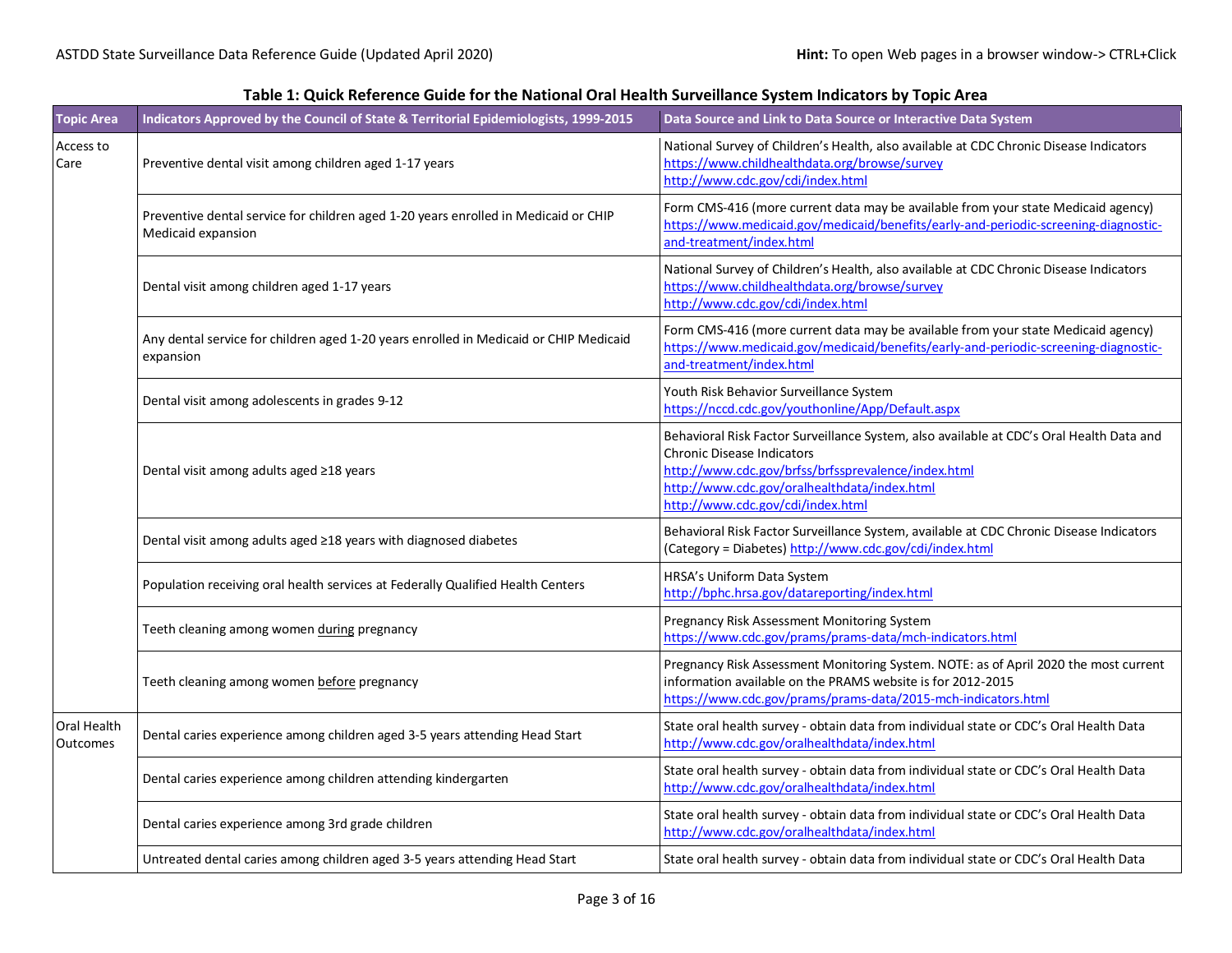| <b>Topic Area</b>              | Indicators Approved by the Council of State & Territorial Epidemiologists, 1999-2015                      | Data Source and Link to Data Source or Interactive Data System                                                                                                                                                                                                            |  |  |
|--------------------------------|-----------------------------------------------------------------------------------------------------------|---------------------------------------------------------------------------------------------------------------------------------------------------------------------------------------------------------------------------------------------------------------------------|--|--|
| Access to<br>Care              | Preventive dental visit among children aged 1-17 years                                                    | National Survey of Children's Health, also available at CDC Chronic Disease Indicators<br>https://www.childhealthdata.org/browse/survey<br>http://www.cdc.gov/cdi/index.html                                                                                              |  |  |
|                                | Preventive dental service for children aged 1-20 years enrolled in Medicaid or CHIP<br>Medicaid expansion | Form CMS-416 (more current data may be available from your state Medicaid agency)<br>https://www.medicaid.gov/medicaid/benefits/early-and-periodic-screening-diagnostic-<br>and-treatment/index.html                                                                      |  |  |
|                                | Dental visit among children aged 1-17 years                                                               | National Survey of Children's Health, also available at CDC Chronic Disease Indicators<br>https://www.childhealthdata.org/browse/survey<br>http://www.cdc.gov/cdi/index.html                                                                                              |  |  |
|                                | Any dental service for children aged 1-20 years enrolled in Medicaid or CHIP Medicaid<br>expansion        | Form CMS-416 (more current data may be available from your state Medicaid agency)<br>https://www.medicaid.gov/medicaid/benefits/early-and-periodic-screening-diagnostic-<br>and-treatment/index.html                                                                      |  |  |
|                                | Dental visit among adolescents in grades 9-12                                                             | Youth Risk Behavior Surveillance System<br>https://nccd.cdc.gov/youthonline/App/Default.aspx                                                                                                                                                                              |  |  |
|                                | Dental visit among adults aged ≥18 years                                                                  | Behavioral Risk Factor Surveillance System, also available at CDC's Oral Health Data and<br><b>Chronic Disease Indicators</b><br>http://www.cdc.gov/brfss/brfssprevalence/index.html<br>http://www.cdc.gov/oralhealthdata/index.html<br>http://www.cdc.gov/cdi/index.html |  |  |
|                                | Dental visit among adults aged ≥18 years with diagnosed diabetes                                          | Behavioral Risk Factor Surveillance System, available at CDC Chronic Disease Indicators<br>(Category = Diabetes) http://www.cdc.gov/cdi/index.html                                                                                                                        |  |  |
|                                | Population receiving oral health services at Federally Qualified Health Centers                           | HRSA's Uniform Data System<br>http://bphc.hrsa.gov/datareporting/index.html                                                                                                                                                                                               |  |  |
|                                | Teeth cleaning among women during pregnancy                                                               | Pregnancy Risk Assessment Monitoring System<br>https://www.cdc.gov/prams/prams-data/mch-indicators.html                                                                                                                                                                   |  |  |
|                                | Teeth cleaning among women before pregnancy                                                               | Pregnancy Risk Assessment Monitoring System. NOTE: as of April 2020 the most current<br>information available on the PRAMS website is for 2012-2015<br>https://www.cdc.gov/prams/prams-data/2015-mch-indicators.html                                                      |  |  |
| Oral Health<br><b>Outcomes</b> | Dental caries experience among children aged 3-5 years attending Head Start                               | State oral health survey - obtain data from individual state or CDC's Oral Health Data<br>http://www.cdc.gov/oralhealthdata/index.html                                                                                                                                    |  |  |
|                                | Dental caries experience among children attending kindergarten                                            | State oral health survey - obtain data from individual state or CDC's Oral Health Data<br>http://www.cdc.gov/oralhealthdata/index.html                                                                                                                                    |  |  |
|                                | Dental caries experience among 3rd grade children                                                         | State oral health survey - obtain data from individual state or CDC's Oral Health Data<br>http://www.cdc.gov/oralhealthdata/index.html                                                                                                                                    |  |  |
|                                | Untreated dental caries among children aged 3-5 years attending Head Start                                | State oral health survey - obtain data from individual state or CDC's Oral Health Data                                                                                                                                                                                    |  |  |

## **Table 1: Quick Reference Guide for the National Oral Health Surveillance System Indicators by Topic Area**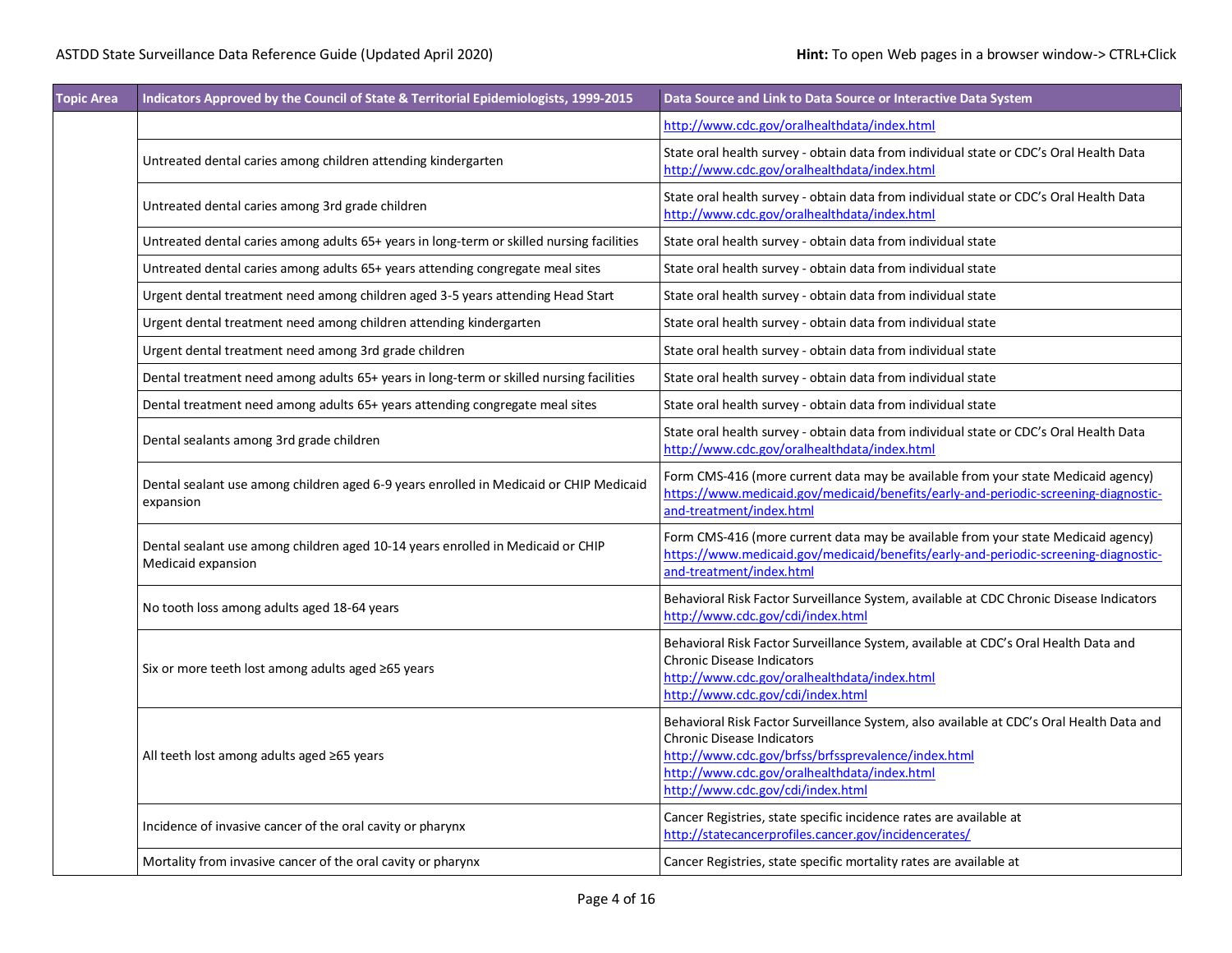| <b>Topic Area</b> | Indicators Approved by the Council of State & Territorial Epidemiologists, 1999-2015                  | Data Source and Link to Data Source or Interactive Data System                                                                                                                                                                                                            |  |  |  |
|-------------------|-------------------------------------------------------------------------------------------------------|---------------------------------------------------------------------------------------------------------------------------------------------------------------------------------------------------------------------------------------------------------------------------|--|--|--|
|                   |                                                                                                       | http://www.cdc.gov/oralhealthdata/index.html                                                                                                                                                                                                                              |  |  |  |
|                   | Untreated dental caries among children attending kindergarten                                         | State oral health survey - obtain data from individual state or CDC's Oral Health Data<br>http://www.cdc.gov/oralhealthdata/index.html                                                                                                                                    |  |  |  |
|                   | Untreated dental caries among 3rd grade children                                                      | State oral health survey - obtain data from individual state or CDC's Oral Health Data<br>http://www.cdc.gov/oralhealthdata/index.html                                                                                                                                    |  |  |  |
|                   | Untreated dental caries among adults 65+ years in long-term or skilled nursing facilities             | State oral health survey - obtain data from individual state                                                                                                                                                                                                              |  |  |  |
|                   | Untreated dental caries among adults 65+ years attending congregate meal sites                        | State oral health survey - obtain data from individual state                                                                                                                                                                                                              |  |  |  |
|                   | Urgent dental treatment need among children aged 3-5 years attending Head Start                       | State oral health survey - obtain data from individual state                                                                                                                                                                                                              |  |  |  |
|                   | Urgent dental treatment need among children attending kindergarten                                    | State oral health survey - obtain data from individual state                                                                                                                                                                                                              |  |  |  |
|                   | Urgent dental treatment need among 3rd grade children                                                 | State oral health survey - obtain data from individual state                                                                                                                                                                                                              |  |  |  |
|                   | Dental treatment need among adults 65+ years in long-term or skilled nursing facilities               | State oral health survey - obtain data from individual state                                                                                                                                                                                                              |  |  |  |
|                   | Dental treatment need among adults 65+ years attending congregate meal sites                          | State oral health survey - obtain data from individual state                                                                                                                                                                                                              |  |  |  |
|                   | Dental sealants among 3rd grade children                                                              | State oral health survey - obtain data from individual state or CDC's Oral Health Data<br>http://www.cdc.gov/oralhealthdata/index.html                                                                                                                                    |  |  |  |
|                   | Dental sealant use among children aged 6-9 years enrolled in Medicaid or CHIP Medicaid<br>expansion   | Form CMS-416 (more current data may be available from your state Medicaid agency)<br>https://www.medicaid.gov/medicaid/benefits/early-and-periodic-screening-diagnostic-<br>and-treatment/index.html                                                                      |  |  |  |
|                   | Dental sealant use among children aged 10-14 years enrolled in Medicaid or CHIP<br>Medicaid expansion | Form CMS-416 (more current data may be available from your state Medicaid agency)<br>https://www.medicaid.gov/medicaid/benefits/early-and-periodic-screening-diagnostic-<br>and-treatment/index.html                                                                      |  |  |  |
|                   | No tooth loss among adults aged 18-64 years                                                           | Behavioral Risk Factor Surveillance System, available at CDC Chronic Disease Indicators<br>http://www.cdc.gov/cdi/index.html                                                                                                                                              |  |  |  |
|                   | Six or more teeth lost among adults aged ≥65 years                                                    | Behavioral Risk Factor Surveillance System, available at CDC's Oral Health Data and<br><b>Chronic Disease Indicators</b><br>http://www.cdc.gov/oralhealthdata/index.html<br>http://www.cdc.gov/cdi/index.html                                                             |  |  |  |
|                   | All teeth lost among adults aged ≥65 years                                                            | Behavioral Risk Factor Surveillance System, also available at CDC's Oral Health Data and<br><b>Chronic Disease Indicators</b><br>http://www.cdc.gov/brfss/brfssprevalence/index.html<br>http://www.cdc.gov/oralhealthdata/index.html<br>http://www.cdc.gov/cdi/index.html |  |  |  |
|                   | Incidence of invasive cancer of the oral cavity or pharynx                                            | Cancer Registries, state specific incidence rates are available at<br>http://statecancerprofiles.cancer.gov/incidencerates/                                                                                                                                               |  |  |  |
|                   | Mortality from invasive cancer of the oral cavity or pharynx                                          | Cancer Registries, state specific mortality rates are available at                                                                                                                                                                                                        |  |  |  |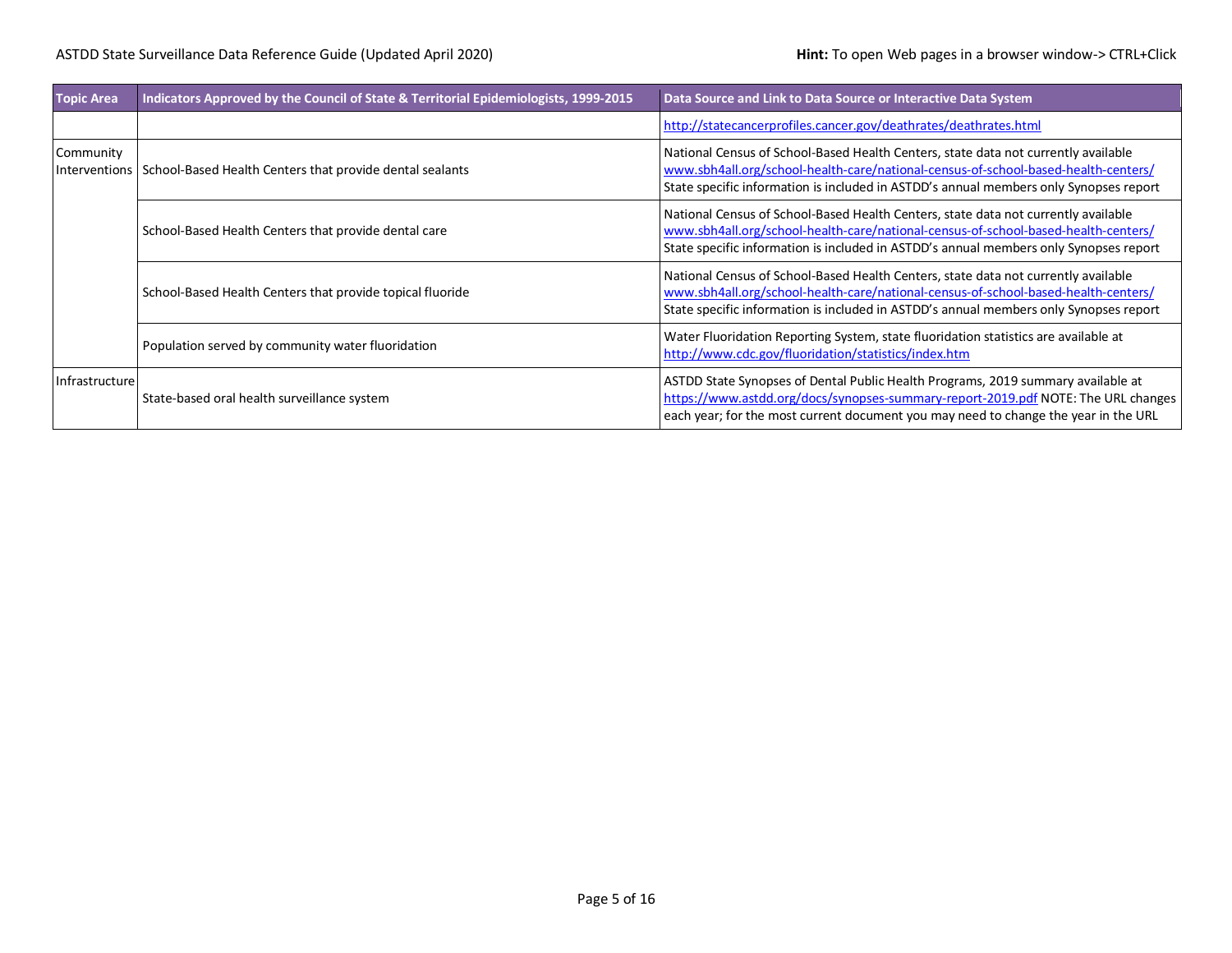| <b>Topic Area</b>          | Indicators Approved by the Council of State & Territorial Epidemiologists, 1999-2015 | Data Source and Link to Data Source or Interactive Data System                                                                                                                                                                                                    |
|----------------------------|--------------------------------------------------------------------------------------|-------------------------------------------------------------------------------------------------------------------------------------------------------------------------------------------------------------------------------------------------------------------|
|                            |                                                                                      | http://statecancerprofiles.cancer.gov/deathrates/deathrates.html                                                                                                                                                                                                  |
| Community<br>Interventions | School-Based Health Centers that provide dental sealants                             | National Census of School-Based Health Centers, state data not currently available<br>www.sbh4all.org/school-health-care/national-census-of-school-based-health-centers/<br>State specific information is included in ASTDD's annual members only Synopses report |
|                            | School-Based Health Centers that provide dental care                                 | National Census of School-Based Health Centers, state data not currently available<br>www.sbh4all.org/school-health-care/national-census-of-school-based-health-centers/<br>State specific information is included in ASTDD's annual members only Synopses report |
|                            | School-Based Health Centers that provide topical fluoride                            | National Census of School-Based Health Centers, state data not currently available<br>www.sbh4all.org/school-health-care/national-census-of-school-based-health-centers/<br>State specific information is included in ASTDD's annual members only Synopses report |
|                            | Population served by community water fluoridation                                    | Water Fluoridation Reporting System, state fluoridation statistics are available at<br>http://www.cdc.gov/fluoridation/statistics/index.htm                                                                                                                       |
| Infrastructure             | State-based oral health surveillance system                                          | ASTDD State Synopses of Dental Public Health Programs, 2019 summary available at<br>https://www.astdd.org/docs/synopses-summary-report-2019.pdf NOTE: The URL changes<br>each year; for the most current document you may need to change the year in the URL      |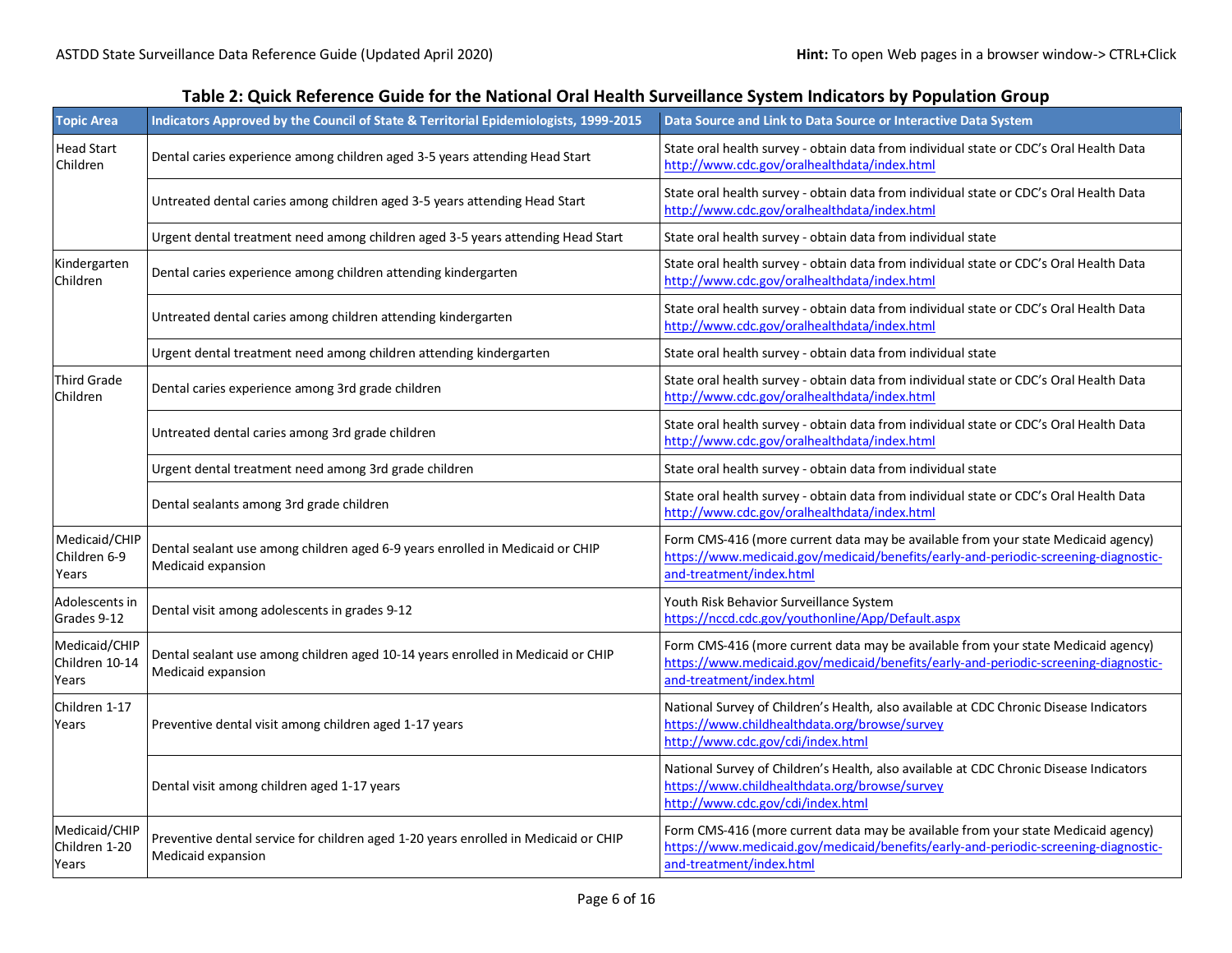| <b>Topic Area</b>                        | Indicators Approved by the Council of State & Territorial Epidemiologists, 1999-2015                      | Data Source and Link to Data Source or Interactive Data System                                                                                                                                       |
|------------------------------------------|-----------------------------------------------------------------------------------------------------------|------------------------------------------------------------------------------------------------------------------------------------------------------------------------------------------------------|
| Head Start<br>Children                   | Dental caries experience among children aged 3-5 years attending Head Start                               | State oral health survey - obtain data from individual state or CDC's Oral Health Data<br>http://www.cdc.gov/oralhealthdata/index.html                                                               |
|                                          | Untreated dental caries among children aged 3-5 years attending Head Start                                | State oral health survey - obtain data from individual state or CDC's Oral Health Data<br>http://www.cdc.gov/oralhealthdata/index.html                                                               |
|                                          | Urgent dental treatment need among children aged 3-5 years attending Head Start                           | State oral health survey - obtain data from individual state                                                                                                                                         |
| Kindergarten<br>Children                 | Dental caries experience among children attending kindergarten                                            | State oral health survey - obtain data from individual state or CDC's Oral Health Data<br>http://www.cdc.gov/oralhealthdata/index.html                                                               |
|                                          | Untreated dental caries among children attending kindergarten                                             | State oral health survey - obtain data from individual state or CDC's Oral Health Data<br>http://www.cdc.gov/oralhealthdata/index.html                                                               |
|                                          | Urgent dental treatment need among children attending kindergarten                                        | State oral health survey - obtain data from individual state                                                                                                                                         |
| <b>Third Grade</b><br>Children           | Dental caries experience among 3rd grade children                                                         | State oral health survey - obtain data from individual state or CDC's Oral Health Data<br>http://www.cdc.gov/oralhealthdata/index.html                                                               |
|                                          | Untreated dental caries among 3rd grade children                                                          | State oral health survey - obtain data from individual state or CDC's Oral Health Data<br>http://www.cdc.gov/oralhealthdata/index.html                                                               |
|                                          | Urgent dental treatment need among 3rd grade children                                                     | State oral health survey - obtain data from individual state                                                                                                                                         |
|                                          | Dental sealants among 3rd grade children                                                                  | State oral health survey - obtain data from individual state or CDC's Oral Health Data<br>http://www.cdc.gov/oralhealthdata/index.html                                                               |
| Medicaid/CHIP<br>Children 6-9<br>Years   | Dental sealant use among children aged 6-9 years enrolled in Medicaid or CHIP<br>Medicaid expansion       | Form CMS-416 (more current data may be available from your state Medicaid agency)<br>https://www.medicaid.gov/medicaid/benefits/early-and-periodic-screening-diagnostic-<br>and-treatment/index.html |
| Adolescents in<br>Grades 9-12            | Dental visit among adolescents in grades 9-12                                                             | Youth Risk Behavior Surveillance System<br>https://nccd.cdc.gov/youthonline/App/Default.aspx                                                                                                         |
| Medicaid/CHIP<br>Children 10-14<br>Years | Dental sealant use among children aged 10-14 years enrolled in Medicaid or CHIP<br>Medicaid expansion     | Form CMS-416 (more current data may be available from your state Medicaid agency)<br>https://www.medicaid.gov/medicaid/benefits/early-and-periodic-screening-diagnostic-<br>and-treatment/index.html |
| Children 1-17<br>Years                   | Preventive dental visit among children aged 1-17 years                                                    | National Survey of Children's Health, also available at CDC Chronic Disease Indicators<br>https://www.childhealthdata.org/browse/survey<br>http://www.cdc.gov/cdi/index.html                         |
|                                          | Dental visit among children aged 1-17 years                                                               | National Survey of Children's Health, also available at CDC Chronic Disease Indicators<br>https://www.childhealthdata.org/browse/survey<br>http://www.cdc.gov/cdi/index.html                         |
| Medicaid/CHIP<br>Children 1-20<br>Years  | Preventive dental service for children aged 1-20 years enrolled in Medicaid or CHIP<br>Medicaid expansion | Form CMS-416 (more current data may be available from your state Medicaid agency)<br>https://www.medicaid.gov/medicaid/benefits/early-and-periodic-screening-diagnostic-<br>and-treatment/index.html |

## **Table 2: Quick Reference Guide for the National Oral Health Surveillance System Indicators by Population Group**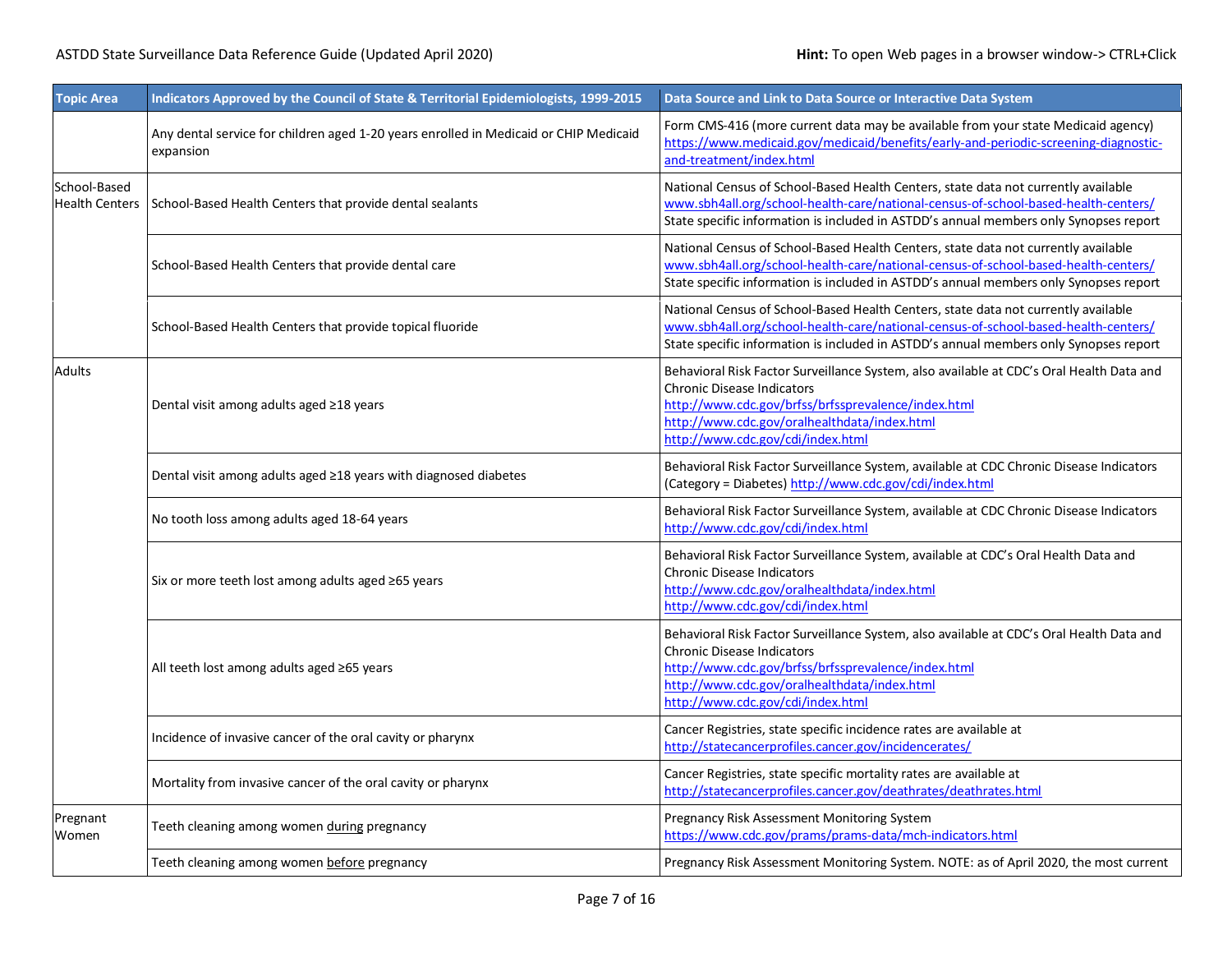| <b>Topic Area</b>                     | Indicators Approved by the Council of State & Territorial Epidemiologists, 1999-2015               | Data Source and Link to Data Source or Interactive Data System                                                                                                                                                                                                            |  |  |  |
|---------------------------------------|----------------------------------------------------------------------------------------------------|---------------------------------------------------------------------------------------------------------------------------------------------------------------------------------------------------------------------------------------------------------------------------|--|--|--|
|                                       | Any dental service for children aged 1-20 years enrolled in Medicaid or CHIP Medicaid<br>expansion | Form CMS-416 (more current data may be available from your state Medicaid agency)<br>https://www.medicaid.gov/medicaid/benefits/early-and-periodic-screening-diagnostic-<br>and-treatment/index.html                                                                      |  |  |  |
| School-Based<br><b>Health Centers</b> | School-Based Health Centers that provide dental sealants                                           | National Census of School-Based Health Centers, state data not currently available<br>www.sbh4all.org/school-health-care/national-census-of-school-based-health-centers/<br>State specific information is included in ASTDD's annual members only Synopses report         |  |  |  |
|                                       | School-Based Health Centers that provide dental care                                               | National Census of School-Based Health Centers, state data not currently available<br>www.sbh4all.org/school-health-care/national-census-of-school-based-health-centers/<br>State specific information is included in ASTDD's annual members only Synopses report         |  |  |  |
|                                       | School-Based Health Centers that provide topical fluoride                                          | National Census of School-Based Health Centers, state data not currently available<br>www.sbh4all.org/school-health-care/national-census-of-school-based-health-centers/<br>State specific information is included in ASTDD's annual members only Synopses report         |  |  |  |
| <b>Adults</b>                         | Dental visit among adults aged ≥18 years                                                           | Behavioral Risk Factor Surveillance System, also available at CDC's Oral Health Data and<br><b>Chronic Disease Indicators</b><br>http://www.cdc.gov/brfss/brfssprevalence/index.html<br>http://www.cdc.gov/oralhealthdata/index.html<br>http://www.cdc.gov/cdi/index.html |  |  |  |
|                                       | Dental visit among adults aged ≥18 years with diagnosed diabetes                                   | Behavioral Risk Factor Surveillance System, available at CDC Chronic Disease Indicators<br>(Category = Diabetes) http://www.cdc.gov/cdi/index.html                                                                                                                        |  |  |  |
|                                       | No tooth loss among adults aged 18-64 years                                                        | Behavioral Risk Factor Surveillance System, available at CDC Chronic Disease Indicators<br>http://www.cdc.gov/cdi/index.html                                                                                                                                              |  |  |  |
|                                       | Six or more teeth lost among adults aged ≥65 years                                                 | Behavioral Risk Factor Surveillance System, available at CDC's Oral Health Data and<br><b>Chronic Disease Indicators</b><br>http://www.cdc.gov/oralhealthdata/index.html<br>http://www.cdc.gov/cdi/index.html                                                             |  |  |  |
|                                       | All teeth lost among adults aged ≥65 years                                                         | Behavioral Risk Factor Surveillance System, also available at CDC's Oral Health Data and<br><b>Chronic Disease Indicators</b><br>http://www.cdc.gov/brfss/brfssprevalence/index.html<br>http://www.cdc.gov/oralhealthdata/index.html<br>http://www.cdc.gov/cdi/index.html |  |  |  |
|                                       | Incidence of invasive cancer of the oral cavity or pharynx                                         | Cancer Registries, state specific incidence rates are available at<br>http://statecancerprofiles.cancer.gov/incidencerates/                                                                                                                                               |  |  |  |
|                                       | Mortality from invasive cancer of the oral cavity or pharynx                                       | Cancer Registries, state specific mortality rates are available at<br>http://statecancerprofiles.cancer.gov/deathrates/deathrates.html                                                                                                                                    |  |  |  |
| Pregnant<br>Women                     | Teeth cleaning among women during pregnancy                                                        | Pregnancy Risk Assessment Monitoring System<br>https://www.cdc.gov/prams/prams-data/mch-indicators.html                                                                                                                                                                   |  |  |  |
|                                       | Teeth cleaning among women before pregnancy                                                        | Pregnancy Risk Assessment Monitoring System. NOTE: as of April 2020, the most current                                                                                                                                                                                     |  |  |  |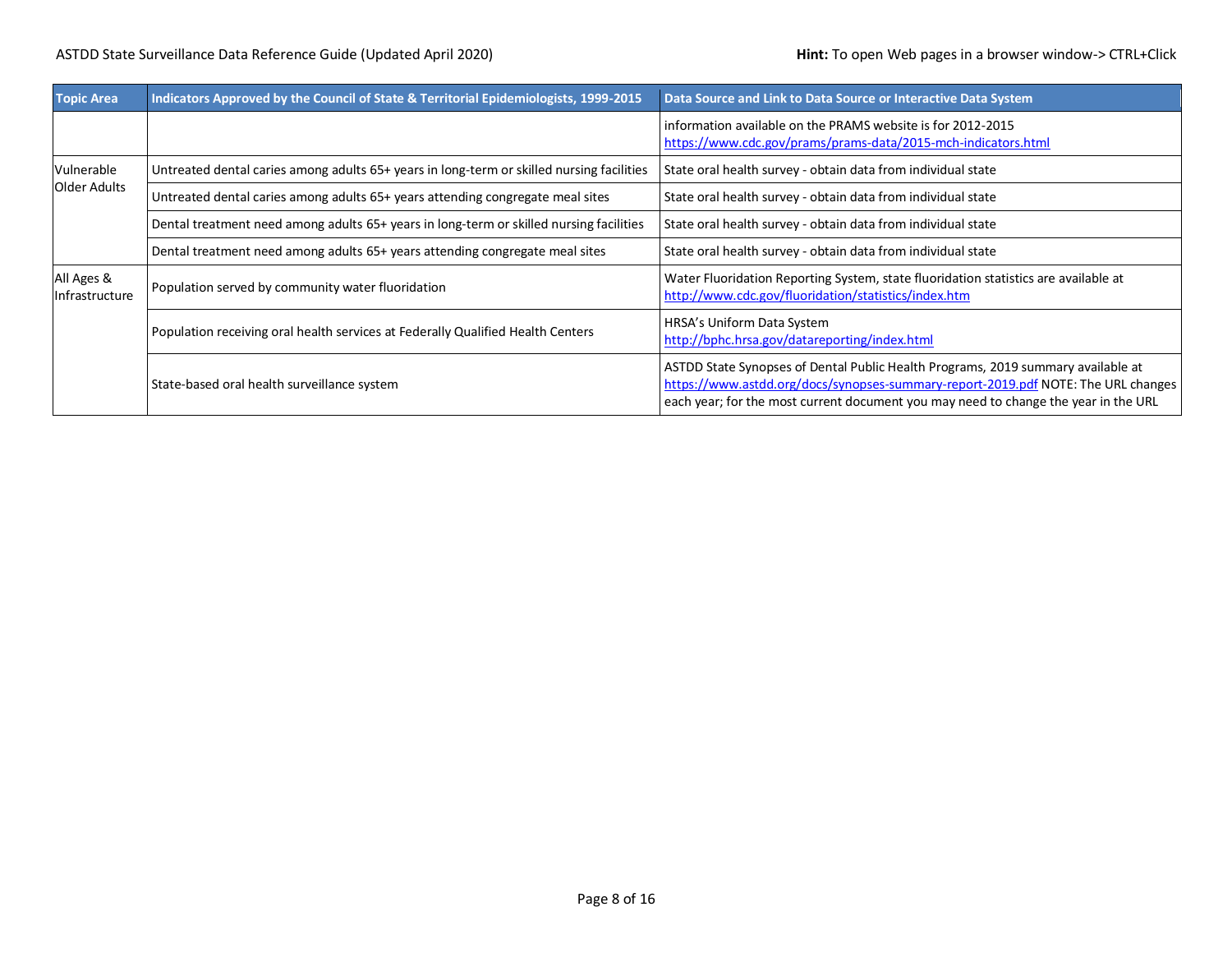| <b>Topic Area</b>            | Indicators Approved by the Council of State & Territorial Epidemiologists, 1999-2015      | Data Source and Link to Data Source or Interactive Data System                                                                                                                                                                                               |  |
|------------------------------|-------------------------------------------------------------------------------------------|--------------------------------------------------------------------------------------------------------------------------------------------------------------------------------------------------------------------------------------------------------------|--|
|                              |                                                                                           | information available on the PRAMS website is for 2012-2015<br>https://www.cdc.gov/prams/prams-data/2015-mch-indicators.html                                                                                                                                 |  |
| Vulnerable                   | Untreated dental caries among adults 65+ years in long-term or skilled nursing facilities | State oral health survey - obtain data from individual state                                                                                                                                                                                                 |  |
| <b>Older Adults</b>          | Untreated dental caries among adults 65+ years attending congregate meal sites            | State oral health survey - obtain data from individual state                                                                                                                                                                                                 |  |
|                              | Dental treatment need among adults 65+ years in long-term or skilled nursing facilities   | State oral health survey - obtain data from individual state                                                                                                                                                                                                 |  |
|                              | Dental treatment need among adults 65+ years attending congregate meal sites              | State oral health survey - obtain data from individual state                                                                                                                                                                                                 |  |
| All Ages &<br>Infrastructure | Population served by community water fluoridation                                         | Water Fluoridation Reporting System, state fluoridation statistics are available at<br>http://www.cdc.gov/fluoridation/statistics/index.htm                                                                                                                  |  |
|                              | Population receiving oral health services at Federally Qualified Health Centers           | HRSA's Uniform Data System<br>http://bphc.hrsa.gov/datareporting/index.html                                                                                                                                                                                  |  |
|                              | State-based oral health surveillance system                                               | ASTDD State Synopses of Dental Public Health Programs, 2019 summary available at<br>https://www.astdd.org/docs/synopses-summary-report-2019.pdf NOTE: The URL changes<br>each year; for the most current document you may need to change the year in the URL |  |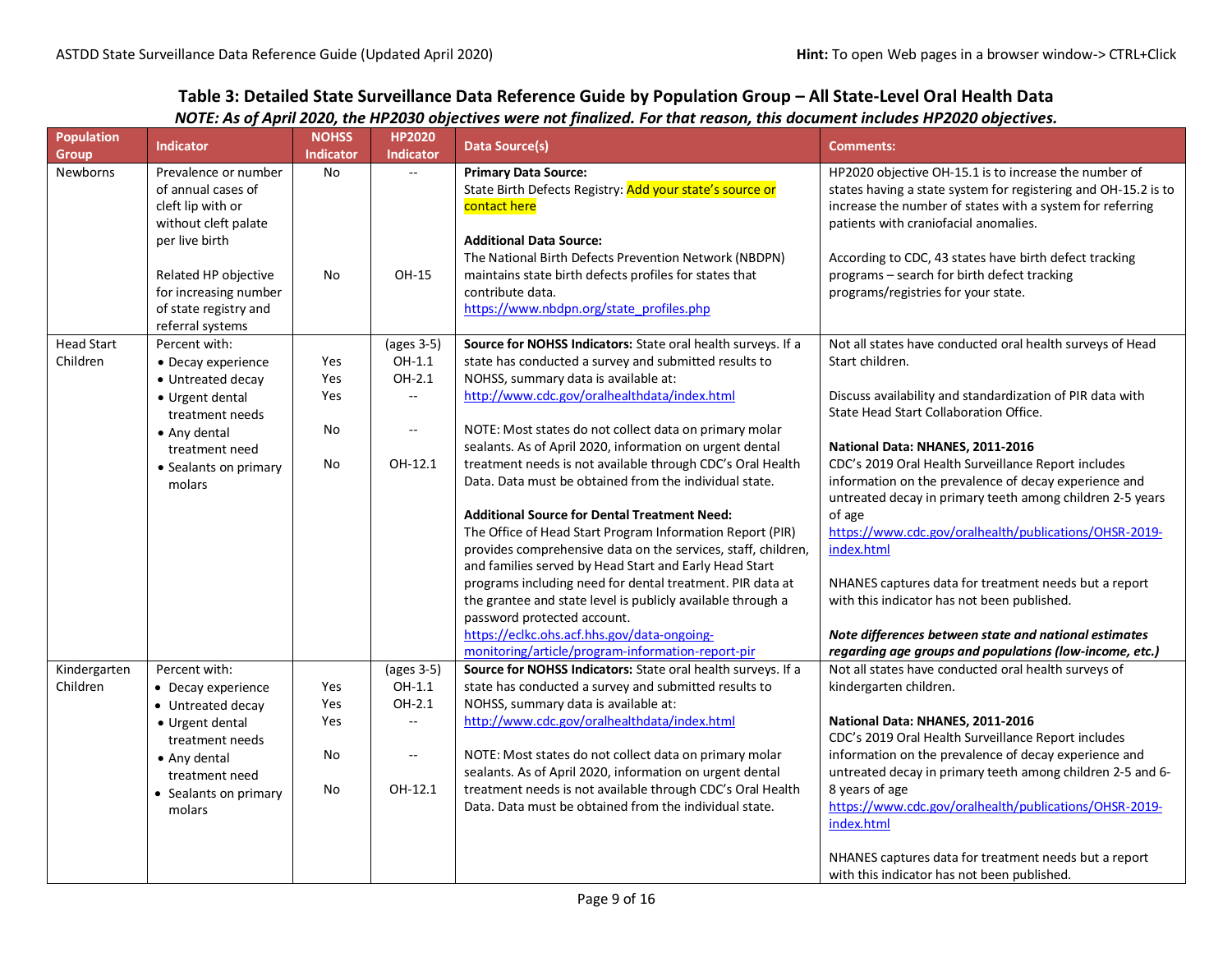# **Table 3: Detailed State Surveillance Data Reference Guide by Population Group – All State-Level Oral Health Data**

## *NOTE: As of April 2020, the HP2030 objectives were not finalized. For that reason, this document includes HP2020 objectives.*

| <b>Population</b><br><b>Group</b> | <b>Indicator</b>                     | <b>NOHSS</b><br><b>Indicator</b> | <b>HP2020</b><br><b>Indicator</b>             | <b>Data Source(s)</b>                                                                      | <b>Comments:</b>                                               |
|-----------------------------------|--------------------------------------|----------------------------------|-----------------------------------------------|--------------------------------------------------------------------------------------------|----------------------------------------------------------------|
| Newborns                          | Prevalence or number                 | No                               | $\mathbb{Z}^{\mathbb{Z}}$                     | <b>Primary Data Source:</b>                                                                | HP2020 objective OH-15.1 is to increase the number of          |
|                                   | of annual cases of                   |                                  |                                               | State Birth Defects Registry: Add your state's source or                                   | states having a state system for registering and OH-15.2 is to |
|                                   | cleft lip with or                    |                                  |                                               | contact here                                                                               | increase the number of states with a system for referring      |
|                                   | without cleft palate                 |                                  |                                               |                                                                                            | patients with craniofacial anomalies.                          |
|                                   | per live birth                       |                                  |                                               | <b>Additional Data Source:</b>                                                             |                                                                |
|                                   |                                      |                                  |                                               | The National Birth Defects Prevention Network (NBDPN)                                      | According to CDC, 43 states have birth defect tracking         |
|                                   | Related HP objective                 | No                               | OH-15                                         | maintains state birth defects profiles for states that                                     | programs - search for birth defect tracking                    |
|                                   | for increasing number                |                                  |                                               | contribute data.                                                                           | programs/registries for your state.                            |
|                                   | of state registry and                |                                  |                                               | https://www.nbdpn.org/state_profiles.php                                                   |                                                                |
|                                   | referral systems                     |                                  |                                               |                                                                                            |                                                                |
| <b>Head Start</b>                 | Percent with:                        |                                  | (ages 3-5)                                    | Source for NOHSS Indicators: State oral health surveys. If a                               | Not all states have conducted oral health surveys of Head      |
| Children                          | • Decay experience                   | Yes                              | OH-1.1                                        | state has conducted a survey and submitted results to                                      | Start children.                                                |
|                                   | • Untreated decay                    | Yes                              | OH-2.1                                        | NOHSS, summary data is available at:                                                       |                                                                |
|                                   | • Urgent dental                      | Yes                              | $\sim$                                        | http://www.cdc.gov/oralhealthdata/index.html                                               | Discuss availability and standardization of PIR data with      |
|                                   | treatment needs                      |                                  |                                               |                                                                                            | State Head Start Collaboration Office.                         |
|                                   | • Any dental                         | No                               | $\mathbb{L}^{\mathbb{L}}$                     | NOTE: Most states do not collect data on primary molar                                     |                                                                |
|                                   | treatment need                       |                                  |                                               | sealants. As of April 2020, information on urgent dental                                   | National Data: NHANES, 2011-2016                               |
|                                   | • Sealants on primary                | No                               | OH-12.1                                       | treatment needs is not available through CDC's Oral Health                                 | CDC's 2019 Oral Health Surveillance Report includes            |
|                                   | molars                               |                                  |                                               | Data. Data must be obtained from the individual state.                                     | information on the prevalence of decay experience and          |
|                                   |                                      |                                  |                                               |                                                                                            | untreated decay in primary teeth among children 2-5 years      |
|                                   |                                      |                                  |                                               | <b>Additional Source for Dental Treatment Need:</b>                                        | of age                                                         |
|                                   |                                      |                                  |                                               | The Office of Head Start Program Information Report (PIR)                                  | https://www.cdc.gov/oralhealth/publications/OHSR-2019-         |
|                                   |                                      |                                  |                                               | provides comprehensive data on the services, staff, children,                              | index.html                                                     |
|                                   |                                      |                                  |                                               | and families served by Head Start and Early Head Start                                     |                                                                |
|                                   |                                      |                                  |                                               | programs including need for dental treatment. PIR data at                                  | NHANES captures data for treatment needs but a report          |
|                                   |                                      |                                  |                                               | the grantee and state level is publicly available through a<br>password protected account. | with this indicator has not been published.                    |
|                                   |                                      |                                  |                                               | https://eclkc.ohs.acf.hhs.gov/data-ongoing-                                                | Note differences between state and national estimates          |
|                                   |                                      |                                  |                                               | monitoring/article/program-information-report-pir                                          | regarding age groups and populations (low-income, etc.)        |
| Kindergarten                      | Percent with:                        |                                  | (ages 3-5)                                    | Source for NOHSS Indicators: State oral health surveys. If a                               | Not all states have conducted oral health surveys of           |
| Children                          | • Decay experience                   | Yes                              | OH-1.1                                        | state has conducted a survey and submitted results to                                      | kindergarten children.                                         |
|                                   |                                      | Yes                              | OH-2.1                                        | NOHSS, summary data is available at:                                                       |                                                                |
|                                   | • Untreated decay<br>• Urgent dental | Yes                              | $\ddotsc$                                     | http://www.cdc.gov/oralhealthdata/index.html                                               | National Data: NHANES, 2011-2016                               |
|                                   | treatment needs                      |                                  |                                               |                                                                                            | CDC's 2019 Oral Health Surveillance Report includes            |
|                                   |                                      | No                               | $\mathord{\hspace{1pt}\text{--}\hspace{1pt}}$ | NOTE: Most states do not collect data on primary molar                                     | information on the prevalence of decay experience and          |
|                                   | • Any dental<br>treatment need       |                                  |                                               | sealants. As of April 2020, information on urgent dental                                   | untreated decay in primary teeth among children 2-5 and 6-     |
|                                   |                                      | No                               | OH-12.1                                       | treatment needs is not available through CDC's Oral Health                                 | 8 years of age                                                 |
|                                   | • Sealants on primary<br>molars      |                                  |                                               | Data. Data must be obtained from the individual state.                                     | https://www.cdc.gov/oralhealth/publications/OHSR-2019-         |
|                                   |                                      |                                  |                                               |                                                                                            | index.html                                                     |
|                                   |                                      |                                  |                                               |                                                                                            | NHANES captures data for treatment needs but a report          |
|                                   |                                      |                                  |                                               |                                                                                            | with this indicator has not been published.                    |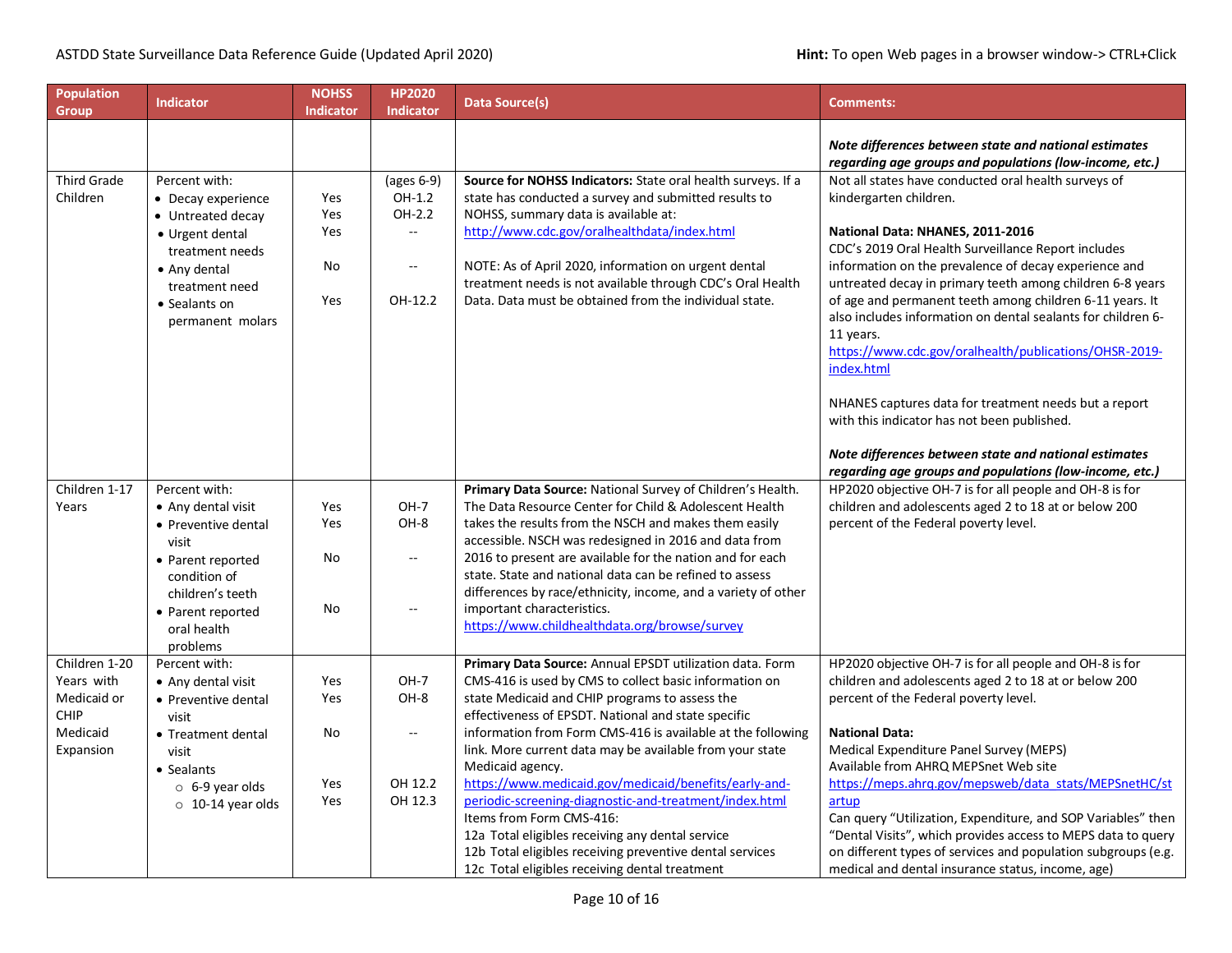| <b>Population</b><br><b>Group</b> | <b>Indicator</b>        | <b>NOHSS</b><br><b>Indicator</b> | <b>HP2020</b><br><b>Indicator</b> | Data Source(s)                                                               | <b>Comments:</b>                                                                                                 |
|-----------------------------------|-------------------------|----------------------------------|-----------------------------------|------------------------------------------------------------------------------|------------------------------------------------------------------------------------------------------------------|
|                                   |                         |                                  |                                   |                                                                              | Note differences between state and national estimates<br>regarding age groups and populations (low-income, etc.) |
| <b>Third Grade</b>                | Percent with:           |                                  | (ages 6-9)                        | Source for NOHSS Indicators: State oral health surveys. If a                 | Not all states have conducted oral health surveys of                                                             |
| Children                          | • Decay experience      | Yes                              | OH-1.2                            | state has conducted a survey and submitted results to                        | kindergarten children.                                                                                           |
|                                   | • Untreated decay       | Yes                              | OH-2.2                            | NOHSS, summary data is available at:                                         |                                                                                                                  |
|                                   | • Urgent dental         | Yes                              | $-$                               | http://www.cdc.gov/oralhealthdata/index.html                                 | National Data: NHANES, 2011-2016                                                                                 |
|                                   | treatment needs         |                                  |                                   |                                                                              | CDC's 2019 Oral Health Surveillance Report includes                                                              |
|                                   | • Any dental            | No                               | $\overline{a}$                    | NOTE: As of April 2020, information on urgent dental                         | information on the prevalence of decay experience and                                                            |
|                                   | treatment need          |                                  |                                   | treatment needs is not available through CDC's Oral Health                   | untreated decay in primary teeth among children 6-8 years                                                        |
|                                   | • Sealants on           | Yes                              | OH-12.2                           | Data. Data must be obtained from the individual state.                       | of age and permanent teeth among children 6-11 years. It                                                         |
|                                   | permanent molars        |                                  |                                   |                                                                              | also includes information on dental sealants for children 6-                                                     |
|                                   |                         |                                  |                                   |                                                                              | 11 years.                                                                                                        |
|                                   |                         |                                  |                                   |                                                                              | https://www.cdc.gov/oralhealth/publications/OHSR-2019-<br>index.html                                             |
|                                   |                         |                                  |                                   |                                                                              |                                                                                                                  |
|                                   |                         |                                  |                                   |                                                                              | NHANES captures data for treatment needs but a report                                                            |
|                                   |                         |                                  |                                   |                                                                              | with this indicator has not been published.                                                                      |
|                                   |                         |                                  |                                   |                                                                              |                                                                                                                  |
|                                   |                         |                                  |                                   |                                                                              | Note differences between state and national estimates                                                            |
|                                   |                         |                                  |                                   |                                                                              | regarding age groups and populations (low-income, etc.)                                                          |
| Children 1-17                     | Percent with:           |                                  |                                   | Primary Data Source: National Survey of Children's Health.                   | HP2020 objective OH-7 is for all people and OH-8 is for                                                          |
| Years                             | • Any dental visit      | Yes                              | $OH-7$                            | The Data Resource Center for Child & Adolescent Health                       | children and adolescents aged 2 to 18 at or below 200                                                            |
|                                   | • Preventive dental     | Yes                              | OH-8                              | takes the results from the NSCH and makes them easily                        | percent of the Federal poverty level.                                                                            |
|                                   | visit                   |                                  |                                   | accessible. NSCH was redesigned in 2016 and data from                        |                                                                                                                  |
|                                   | • Parent reported       | No                               | $\overline{\phantom{a}}$          | 2016 to present are available for the nation and for each                    |                                                                                                                  |
|                                   | condition of            |                                  |                                   | state. State and national data can be refined to assess                      |                                                                                                                  |
|                                   | children's teeth        |                                  |                                   | differences by race/ethnicity, income, and a variety of other                |                                                                                                                  |
|                                   | • Parent reported       | No                               | Ξ.                                | important characteristics.                                                   |                                                                                                                  |
|                                   | oral health             |                                  |                                   | https://www.childhealthdata.org/browse/survey                                |                                                                                                                  |
|                                   | problems                |                                  |                                   |                                                                              |                                                                                                                  |
| Children 1-20                     | Percent with:           |                                  |                                   | Primary Data Source: Annual EPSDT utilization data. Form                     | HP2020 objective OH-7 is for all people and OH-8 is for                                                          |
| Years with                        | • Any dental visit      | Yes                              | $OH-7$                            | CMS-416 is used by CMS to collect basic information on                       | children and adolescents aged 2 to 18 at or below 200                                                            |
| Medicaid or                       | • Preventive dental     | Yes                              | OH-8                              | state Medicaid and CHIP programs to assess the                               | percent of the Federal poverty level.                                                                            |
| <b>CHIP</b>                       | visit                   |                                  |                                   | effectiveness of EPSDT. National and state specific                          |                                                                                                                  |
| Medicaid                          | • Treatment dental      | No                               | $\mathbb{L}^{\mathbb{L}}$         | information from Form CMS-416 is available at the following                  | <b>National Data:</b>                                                                                            |
| Expansion                         | visit                   |                                  |                                   | link. More current data may be available from your state<br>Medicaid agency. | Medical Expenditure Panel Survey (MEPS)<br>Available from AHRQ MEPSnet Web site                                  |
|                                   | • Sealants              | Yes                              | OH 12.2                           | https://www.medicaid.gov/medicaid/benefits/early-and-                        | https://meps.ahrg.gov/mepsweb/data_stats/MEPSnetHC/st                                                            |
|                                   | $\circ$ 6-9 year olds   | Yes                              | OH 12.3                           | periodic-screening-diagnostic-and-treatment/index.html                       | artup                                                                                                            |
|                                   | $\circ$ 10-14 year olds |                                  |                                   | Items from Form CMS-416:                                                     | Can query "Utilization, Expenditure, and SOP Variables" then                                                     |
|                                   |                         |                                  |                                   | 12a Total eligibles receiving any dental service                             | "Dental Visits", which provides access to MEPS data to query                                                     |
|                                   |                         |                                  |                                   | 12b Total eligibles receiving preventive dental services                     | on different types of services and population subgroups (e.g.                                                    |
|                                   |                         |                                  |                                   | 12c Total eligibles receiving dental treatment                               | medical and dental insurance status, income, age)                                                                |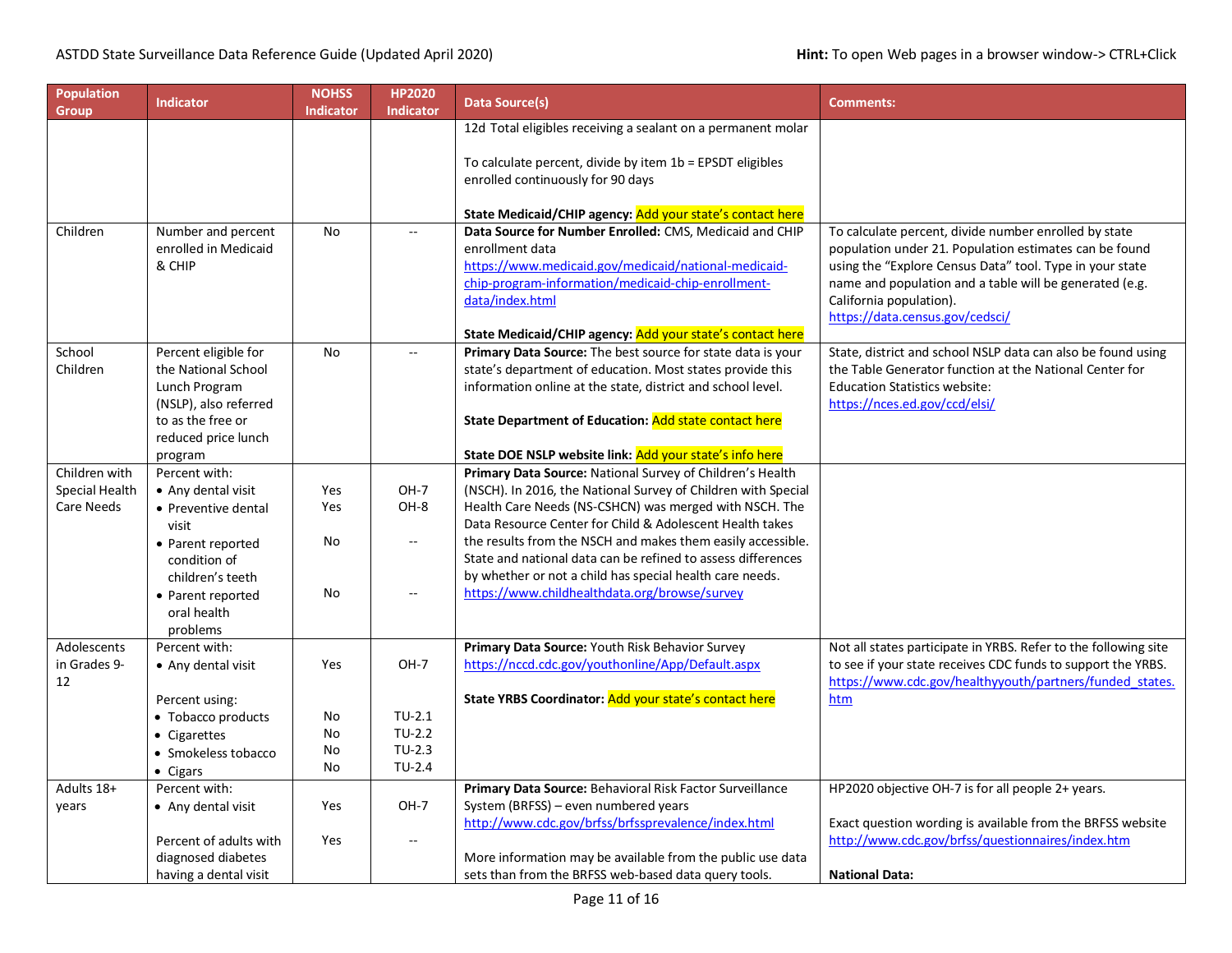| Population<br>Group | <b>Indicator</b>          | <b>NOHSS</b><br><b>Indicator</b> | <b>HP2020</b><br><b>Indicator</b> | Data Source(s)                                                                                            | <b>Comments:</b>                                                |
|---------------------|---------------------------|----------------------------------|-----------------------------------|-----------------------------------------------------------------------------------------------------------|-----------------------------------------------------------------|
|                     |                           |                                  |                                   | 12d Total eligibles receiving a sealant on a permanent molar                                              |                                                                 |
|                     |                           |                                  |                                   |                                                                                                           |                                                                 |
|                     |                           |                                  |                                   | To calculate percent, divide by item 1b = EPSDT eligibles                                                 |                                                                 |
|                     |                           |                                  |                                   | enrolled continuously for 90 days                                                                         |                                                                 |
|                     |                           |                                  |                                   |                                                                                                           |                                                                 |
|                     |                           |                                  |                                   | State Medicaid/CHIP agency: Add your state's contact here                                                 |                                                                 |
| Children            | Number and percent        | No                               |                                   | Data Source for Number Enrolled: CMS, Medicaid and CHIP                                                   | To calculate percent, divide number enrolled by state           |
|                     | enrolled in Medicaid      |                                  |                                   | enrollment data                                                                                           | population under 21. Population estimates can be found          |
|                     | & CHIP                    |                                  |                                   | https://www.medicaid.gov/medicaid/national-medicaid-                                                      | using the "Explore Census Data" tool. Type in your state        |
|                     |                           |                                  |                                   | chip-program-information/medicaid-chip-enrollment-<br>data/index.html                                     | name and population and a table will be generated (e.g.         |
|                     |                           |                                  |                                   |                                                                                                           | California population).<br>https://data.census.gov/cedsci/      |
|                     |                           |                                  |                                   | State Medicaid/CHIP agency: Add your state's contact here                                                 |                                                                 |
| School              | Percent eligible for      | <b>No</b>                        | $\mathbb{L}^{\mathbb{L}}$         | Primary Data Source: The best source for state data is your                                               | State, district and school NSLP data can also be found using    |
| Children            | the National School       |                                  |                                   | state's department of education. Most states provide this                                                 | the Table Generator function at the National Center for         |
|                     | Lunch Program             |                                  |                                   | information online at the state, district and school level.                                               | <b>Education Statistics website:</b>                            |
|                     | (NSLP), also referred     |                                  |                                   |                                                                                                           | https://nces.ed.gov/ccd/elsi/                                   |
|                     | to as the free or         |                                  |                                   | State Department of Education: Add state contact here                                                     |                                                                 |
|                     | reduced price lunch       |                                  |                                   |                                                                                                           |                                                                 |
|                     | program                   |                                  |                                   | State DOE NSLP website link: Add your state's info here                                                   |                                                                 |
| Children with       | Percent with:             |                                  |                                   | Primary Data Source: National Survey of Children's Health                                                 |                                                                 |
| Special Health      | • Any dental visit        | Yes                              | $OH-7$                            | (NSCH). In 2016, the National Survey of Children with Special                                             |                                                                 |
| Care Needs          | • Preventive dental       | Yes                              | OH-8                              | Health Care Needs (NS-CSHCN) was merged with NSCH. The                                                    |                                                                 |
|                     | visit                     |                                  |                                   | Data Resource Center for Child & Adolescent Health takes                                                  |                                                                 |
|                     | • Parent reported         | No                               | $\sim$                            | the results from the NSCH and makes them easily accessible.                                               |                                                                 |
|                     | condition of              |                                  |                                   | State and national data can be refined to assess differences                                              |                                                                 |
|                     | children's teeth          |                                  | $\sim$ $\sim$                     | by whether or not a child has special health care needs.<br>https://www.childhealthdata.org/browse/survey |                                                                 |
|                     | • Parent reported         | No                               |                                   |                                                                                                           |                                                                 |
|                     | oral health               |                                  |                                   |                                                                                                           |                                                                 |
| Adolescents         | problems<br>Percent with: |                                  |                                   | Primary Data Source: Youth Risk Behavior Survey                                                           | Not all states participate in YRBS. Refer to the following site |
| in Grades 9-        |                           | Yes                              | $OH-7$                            | https://nccd.cdc.gov/youthonline/App/Default.aspx                                                         | to see if your state receives CDC funds to support the YRBS.    |
| 12                  | • Any dental visit        |                                  |                                   |                                                                                                           | https://www.cdc.gov/healthyyouth/partners/funded states.        |
|                     | Percent using:            |                                  |                                   | State YRBS Coordinator: Add your state's contact here                                                     | htm                                                             |
|                     | • Tobacco products        | No                               | $TU-2.1$                          |                                                                                                           |                                                                 |
|                     | • Cigarettes              | No                               | $TU-2.2$                          |                                                                                                           |                                                                 |
|                     | • Smokeless tobacco       | No                               | $TU-2.3$                          |                                                                                                           |                                                                 |
|                     | $\bullet$ Cigars          | No                               | $TU-2.4$                          |                                                                                                           |                                                                 |
| Adults 18+          | Percent with:             |                                  |                                   | Primary Data Source: Behavioral Risk Factor Surveillance                                                  | HP2020 objective OH-7 is for all people 2+ years.               |
| years               | • Any dental visit        | Yes                              | $OH-7$                            | System (BRFSS) - even numbered years                                                                      |                                                                 |
|                     |                           |                                  |                                   | http://www.cdc.gov/brfss/brfssprevalence/index.html                                                       | Exact question wording is available from the BRFSS website      |
|                     | Percent of adults with    | Yes                              | $\sim$ $\sim$                     |                                                                                                           | http://www.cdc.gov/brfss/questionnaires/index.htm               |
|                     | diagnosed diabetes        |                                  |                                   | More information may be available from the public use data                                                |                                                                 |
|                     | having a dental visit     |                                  |                                   | sets than from the BRFSS web-based data query tools.                                                      | <b>National Data:</b>                                           |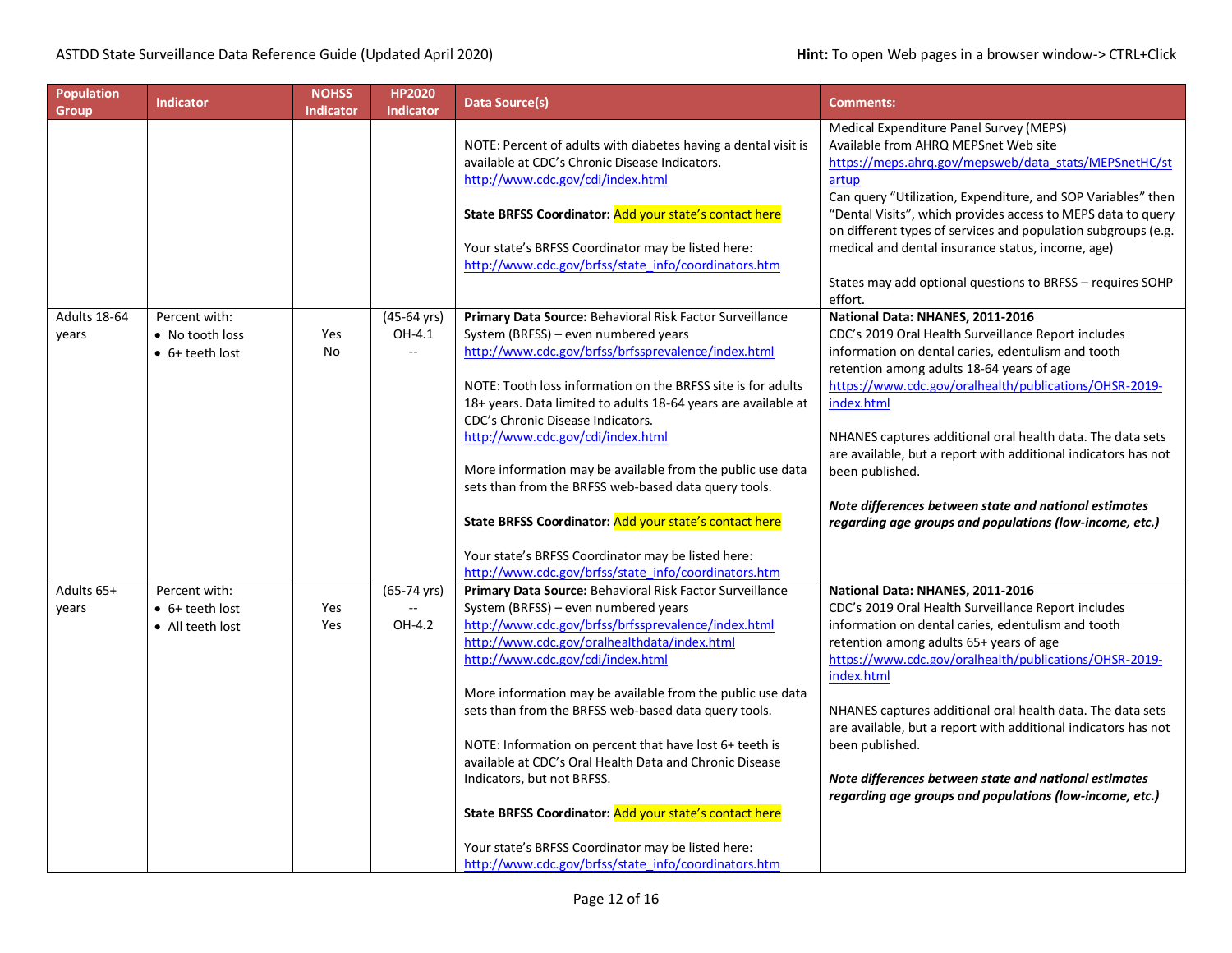| <b>Population</b><br><b>Group</b> | <b>Indicator</b>                                             | <b>NOHSS</b><br><b>Indicator</b> | <b>HP2020</b><br><b>Indicator</b>                 | <b>Data Source(s)</b>                                                                                                                                                                                                                                                                                                                                                                                                                                                                                                                                                                                                                                                                          | <b>Comments:</b>                                                                                                                                                                                                                                                                                                                                                                                                                                                                                                                          |
|-----------------------------------|--------------------------------------------------------------|----------------------------------|---------------------------------------------------|------------------------------------------------------------------------------------------------------------------------------------------------------------------------------------------------------------------------------------------------------------------------------------------------------------------------------------------------------------------------------------------------------------------------------------------------------------------------------------------------------------------------------------------------------------------------------------------------------------------------------------------------------------------------------------------------|-------------------------------------------------------------------------------------------------------------------------------------------------------------------------------------------------------------------------------------------------------------------------------------------------------------------------------------------------------------------------------------------------------------------------------------------------------------------------------------------------------------------------------------------|
|                                   |                                                              |                                  |                                                   | NOTE: Percent of adults with diabetes having a dental visit is<br>available at CDC's Chronic Disease Indicators.<br>http://www.cdc.gov/cdi/index.html<br>State BRFSS Coordinator: Add your state's contact here<br>Your state's BRFSS Coordinator may be listed here:<br>http://www.cdc.gov/brfss/state_info/coordinators.htm                                                                                                                                                                                                                                                                                                                                                                  | Medical Expenditure Panel Survey (MEPS)<br>Available from AHRQ MEPSnet Web site<br>https://meps.ahrq.gov/mepsweb/data_stats/MEPSnetHC/st<br>artup<br>Can query "Utilization, Expenditure, and SOP Variables" then<br>"Dental Visits", which provides access to MEPS data to query<br>on different types of services and population subgroups (e.g.<br>medical and dental insurance status, income, age)<br>States may add optional questions to BRFSS - requires SOHP<br>effort.                                                          |
| Adults 18-64<br>years             | Percent with:<br>• No tooth loss<br>$\bullet$ 6+ teeth lost  | Yes<br>No                        | (45-64 yrs)<br>OH-4.1<br>цц.                      | Primary Data Source: Behavioral Risk Factor Surveillance<br>System (BRFSS) - even numbered years<br>http://www.cdc.gov/brfss/brfssprevalence/index.html<br>NOTE: Tooth loss information on the BRFSS site is for adults<br>18+ years. Data limited to adults 18-64 years are available at<br>CDC's Chronic Disease Indicators.<br>http://www.cdc.gov/cdi/index.html<br>More information may be available from the public use data<br>sets than from the BRFSS web-based data query tools.<br>State BRFSS Coordinator: Add your state's contact here                                                                                                                                            | National Data: NHANES, 2011-2016<br>CDC's 2019 Oral Health Surveillance Report includes<br>information on dental caries, edentulism and tooth<br>retention among adults 18-64 years of age<br>https://www.cdc.gov/oralhealth/publications/OHSR-2019-<br>index.html<br>NHANES captures additional oral health data. The data sets<br>are available, but a report with additional indicators has not<br>been published.<br>Note differences between state and national estimates<br>regarding age groups and populations (low-income, etc.) |
|                                   |                                                              |                                  |                                                   | Your state's BRFSS Coordinator may be listed here:<br>http://www.cdc.gov/brfss/state_info/coordinators.htm                                                                                                                                                                                                                                                                                                                                                                                                                                                                                                                                                                                     |                                                                                                                                                                                                                                                                                                                                                                                                                                                                                                                                           |
| Adults 65+<br>years               | Percent with:<br>$\bullet$ 6+ teeth lost<br>• All teeth lost | Yes<br>Yes                       | $(65-74 \text{ yrs})$<br>$\overline{a}$<br>OH-4.2 | Primary Data Source: Behavioral Risk Factor Surveillance<br>System (BRFSS) - even numbered years<br>http://www.cdc.gov/brfss/brfssprevalence/index.html<br>http://www.cdc.gov/oralhealthdata/index.html<br>http://www.cdc.gov/cdi/index.html<br>More information may be available from the public use data<br>sets than from the BRFSS web-based data query tools.<br>NOTE: Information on percent that have lost 6+ teeth is<br>available at CDC's Oral Health Data and Chronic Disease<br>Indicators, but not BRFSS.<br>State BRFSS Coordinator: Add your state's contact here<br>Your state's BRFSS Coordinator may be listed here:<br>http://www.cdc.gov/brfss/state_info/coordinators.htm | National Data: NHANES, 2011-2016<br>CDC's 2019 Oral Health Surveillance Report includes<br>information on dental caries, edentulism and tooth<br>retention among adults 65+ years of age<br>https://www.cdc.gov/oralhealth/publications/OHSR-2019-<br>index.html<br>NHANES captures additional oral health data. The data sets<br>are available, but a report with additional indicators has not<br>been published.<br>Note differences between state and national estimates<br>regarding age groups and populations (low-income, etc.)   |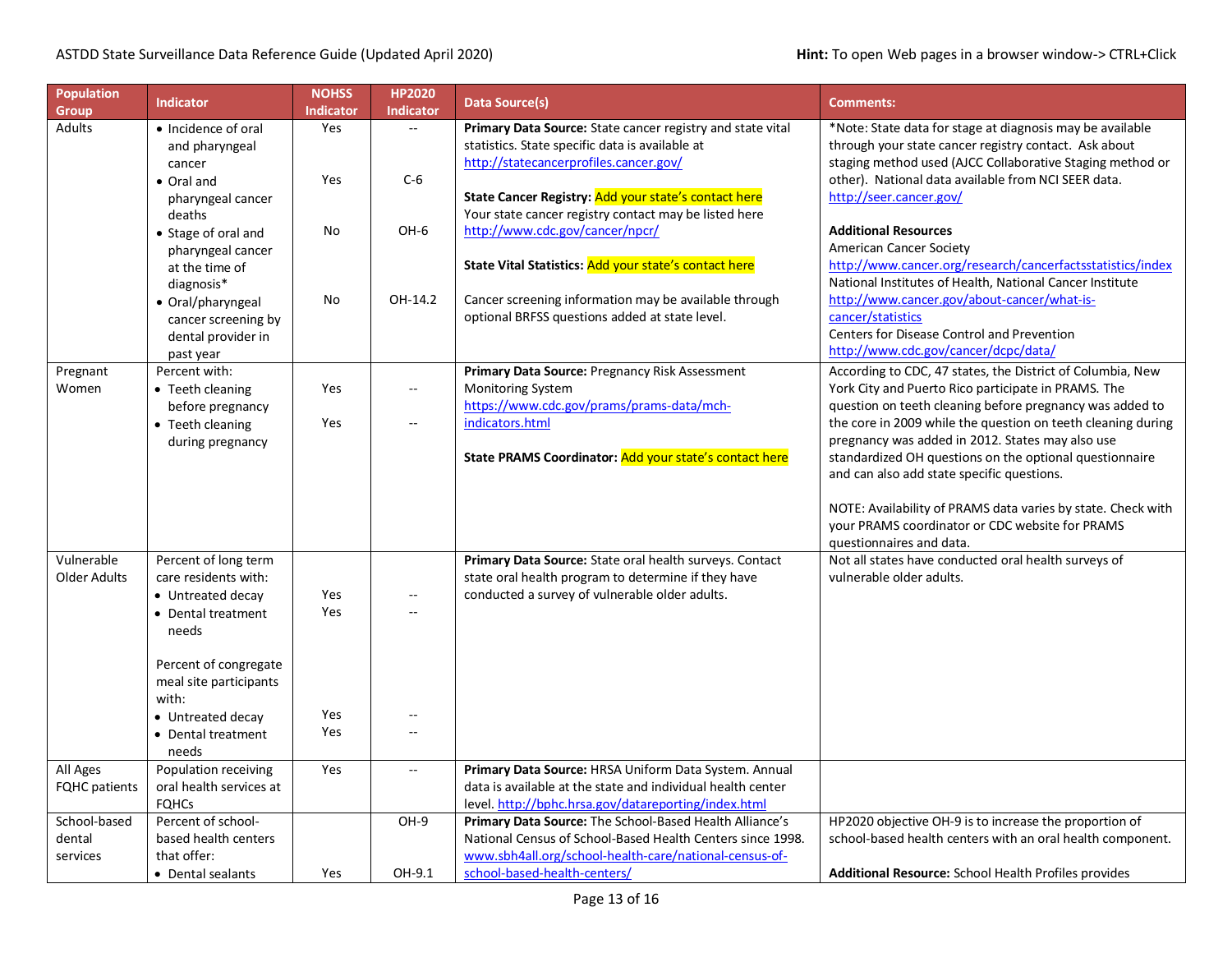| <b>Population</b>    | <b>Indicator</b>                                | <b>NOHSS</b>     | <b>HP2020</b>                                 | <b>Data Source(s)</b>                                                                                         | <b>Comments:</b>                                                                                      |
|----------------------|-------------------------------------------------|------------------|-----------------------------------------------|---------------------------------------------------------------------------------------------------------------|-------------------------------------------------------------------------------------------------------|
| <b>Group</b>         |                                                 | <b>Indicator</b> | <b>Indicator</b>                              |                                                                                                               |                                                                                                       |
| Adults               | • Incidence of oral                             | Yes              | $\mathbb{L}^{\mathbb{L}}$                     | Primary Data Source: State cancer registry and state vital                                                    | *Note: State data for stage at diagnosis may be available                                             |
|                      | and pharyngeal                                  |                  |                                               | statistics. State specific data is available at                                                               | through your state cancer registry contact. Ask about                                                 |
|                      | cancer                                          |                  |                                               | http://statecancerprofiles.cancer.gov/                                                                        | staging method used (AJCC Collaborative Staging method or                                             |
|                      | • Oral and                                      | Yes              | $C-6$                                         |                                                                                                               | other). National data available from NCI SEER data.<br>http://seer.cancer.gov/                        |
|                      | pharyngeal cancer<br>deaths                     |                  |                                               | State Cancer Registry: Add your state's contact here<br>Your state cancer registry contact may be listed here |                                                                                                       |
|                      | • Stage of oral and                             | No               | OH-6                                          | http://www.cdc.gov/cancer/npcr/                                                                               | <b>Additional Resources</b>                                                                           |
|                      | pharyngeal cancer                               |                  |                                               |                                                                                                               | American Cancer Society                                                                               |
|                      | at the time of                                  |                  |                                               | State Vital Statistics: Add your state's contact here                                                         | http://www.cancer.org/research/cancerfactsstatistics/index                                            |
|                      | diagnosis*                                      |                  |                                               |                                                                                                               | National Institutes of Health, National Cancer Institute                                              |
|                      | • Oral/pharyngeal                               | No               | OH-14.2                                       | Cancer screening information may be available through                                                         | http://www.cancer.gov/about-cancer/what-is-                                                           |
|                      | cancer screening by                             |                  |                                               | optional BRFSS questions added at state level.                                                                | cancer/statistics                                                                                     |
|                      | dental provider in                              |                  |                                               |                                                                                                               | Centers for Disease Control and Prevention                                                            |
|                      | past year                                       |                  |                                               |                                                                                                               | http://www.cdc.gov/cancer/dcpc/data/                                                                  |
| Pregnant             | Percent with:                                   |                  |                                               | Primary Data Source: Pregnancy Risk Assessment                                                                | According to CDC, 47 states, the District of Columbia, New                                            |
| Women                | • Teeth cleaning                                | Yes              | $\mathord{\hspace{1pt}\text{--}\hspace{1pt}}$ | Monitoring System                                                                                             | York City and Puerto Rico participate in PRAMS. The                                                   |
|                      | before pregnancy                                |                  |                                               | https://www.cdc.gov/prams/prams-data/mch-                                                                     | question on teeth cleaning before pregnancy was added to                                              |
|                      | • Teeth cleaning                                | Yes              | $\overline{\phantom{a}}$                      | indicators.html                                                                                               | the core in 2009 while the question on teeth cleaning during                                          |
|                      | during pregnancy                                |                  |                                               |                                                                                                               | pregnancy was added in 2012. States may also use                                                      |
|                      |                                                 |                  |                                               | State PRAMS Coordinator: Add your state's contact here                                                        | standardized OH questions on the optional questionnaire<br>and can also add state specific questions. |
|                      |                                                 |                  |                                               |                                                                                                               |                                                                                                       |
|                      |                                                 |                  |                                               |                                                                                                               | NOTE: Availability of PRAMS data varies by state. Check with                                          |
|                      |                                                 |                  |                                               |                                                                                                               | your PRAMS coordinator or CDC website for PRAMS                                                       |
|                      |                                                 |                  |                                               |                                                                                                               | questionnaires and data.                                                                              |
| Vulnerable           | Percent of long term                            |                  |                                               | Primary Data Source: State oral health surveys. Contact                                                       | Not all states have conducted oral health surveys of                                                  |
| <b>Older Adults</b>  | care residents with:                            |                  |                                               | state oral health program to determine if they have                                                           | vulnerable older adults.                                                                              |
|                      | • Untreated decay                               | Yes              | $-$                                           | conducted a survey of vulnerable older adults.                                                                |                                                                                                       |
|                      | • Dental treatment                              | Yes              | $\overline{a}$                                |                                                                                                               |                                                                                                       |
|                      | needs                                           |                  |                                               |                                                                                                               |                                                                                                       |
|                      |                                                 |                  |                                               |                                                                                                               |                                                                                                       |
|                      | Percent of congregate<br>meal site participants |                  |                                               |                                                                                                               |                                                                                                       |
|                      | with:                                           |                  |                                               |                                                                                                               |                                                                                                       |
|                      | • Untreated decay                               | Yes              |                                               |                                                                                                               |                                                                                                       |
|                      | • Dental treatment                              | Yes              | --                                            |                                                                                                               |                                                                                                       |
|                      | needs                                           |                  |                                               |                                                                                                               |                                                                                                       |
| All Ages             | Population receiving                            | Yes              | ٠.                                            | Primary Data Source: HRSA Uniform Data System. Annual                                                         |                                                                                                       |
| <b>FQHC</b> patients | oral health services at                         |                  |                                               | data is available at the state and individual health center                                                   |                                                                                                       |
|                      | <b>FOHCs</b>                                    |                  |                                               | level. http://bphc.hrsa.gov/datareporting/index.html                                                          |                                                                                                       |
| School-based         | Percent of school-                              |                  | OH-9                                          | Primary Data Source: The School-Based Health Alliance's                                                       | HP2020 objective OH-9 is to increase the proportion of                                                |
| dental               | based health centers                            |                  |                                               | National Census of School-Based Health Centers since 1998.                                                    | school-based health centers with an oral health component.                                            |
| services             | that offer:                                     |                  |                                               | www.sbh4all.org/school-health-care/national-census-of-                                                        |                                                                                                       |
|                      | • Dental sealants                               | Yes              | OH-9.1                                        | school-based-health-centers/                                                                                  | <b>Additional Resource:</b> School Health Profiles provides                                           |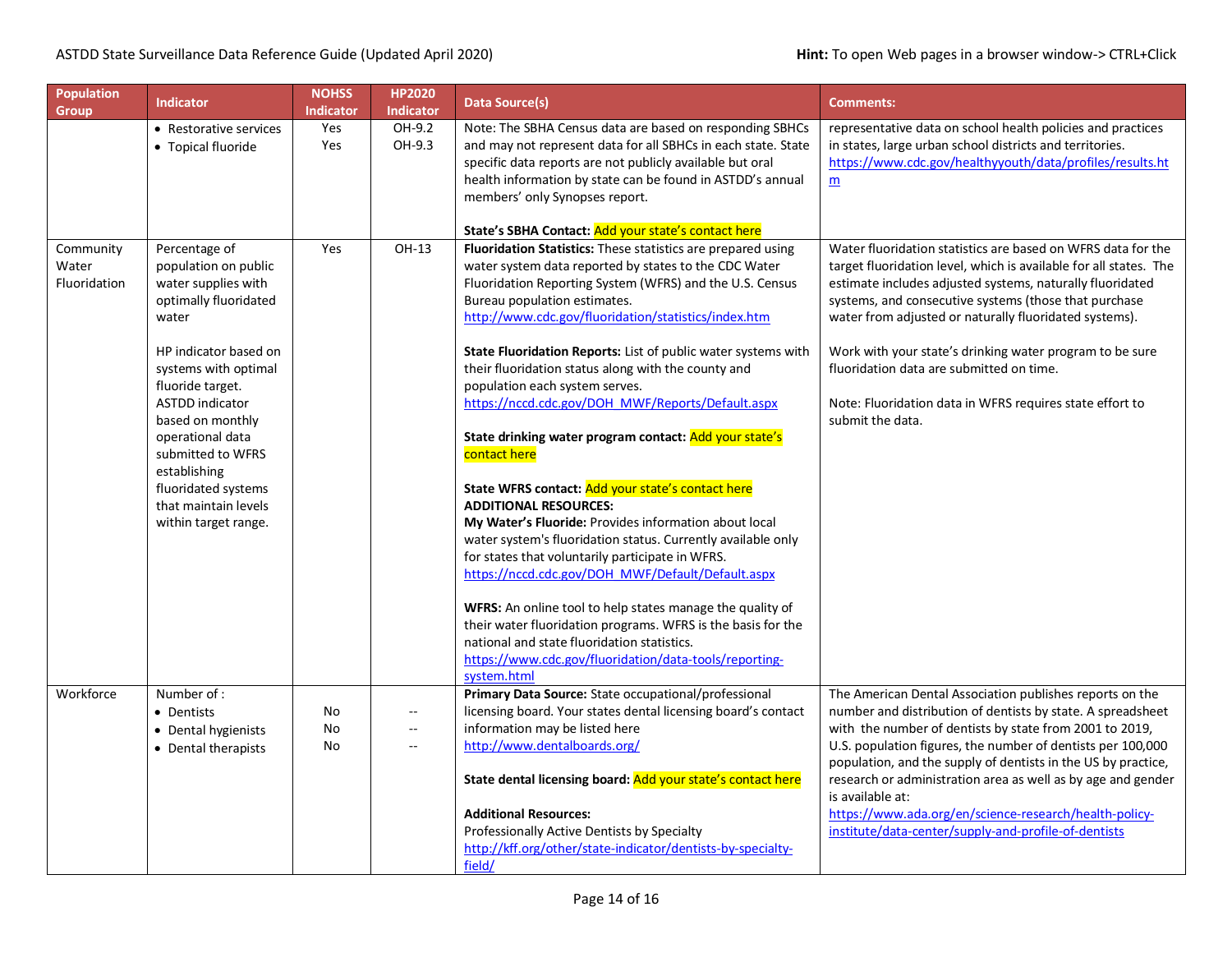| <b>Population</b><br><b>Group</b>  | <b>Indicator</b>                                                                                                                                                                                                                                                                                                                                  | <b>NOHSS</b><br><b>Indicator</b> | <b>HP2020</b><br>Indicator                                  | <b>Data Source(s)</b>                                                                                                                                                                                                                                                                                                                                                                                                                                                                                                                                                                                                                                                                                                                                                                                                                                                                                                                                                                                                                                                                                                                          | <b>Comments:</b>                                                                                                                                                                                                                                                                                                                                                                                                                                                                                                         |
|------------------------------------|---------------------------------------------------------------------------------------------------------------------------------------------------------------------------------------------------------------------------------------------------------------------------------------------------------------------------------------------------|----------------------------------|-------------------------------------------------------------|------------------------------------------------------------------------------------------------------------------------------------------------------------------------------------------------------------------------------------------------------------------------------------------------------------------------------------------------------------------------------------------------------------------------------------------------------------------------------------------------------------------------------------------------------------------------------------------------------------------------------------------------------------------------------------------------------------------------------------------------------------------------------------------------------------------------------------------------------------------------------------------------------------------------------------------------------------------------------------------------------------------------------------------------------------------------------------------------------------------------------------------------|--------------------------------------------------------------------------------------------------------------------------------------------------------------------------------------------------------------------------------------------------------------------------------------------------------------------------------------------------------------------------------------------------------------------------------------------------------------------------------------------------------------------------|
|                                    | • Restorative services<br>• Topical fluoride                                                                                                                                                                                                                                                                                                      | Yes<br>Yes                       | OH-9.2<br>OH-9.3                                            | Note: The SBHA Census data are based on responding SBHCs<br>and may not represent data for all SBHCs in each state. State<br>specific data reports are not publicly available but oral<br>health information by state can be found in ASTDD's annual<br>members' only Synopses report.<br>State's SBHA Contact: Add your state's contact here                                                                                                                                                                                                                                                                                                                                                                                                                                                                                                                                                                                                                                                                                                                                                                                                  | representative data on school health policies and practices<br>in states, large urban school districts and territories.<br>https://www.cdc.gov/healthyyouth/data/profiles/results.ht<br>$\underline{m}$                                                                                                                                                                                                                                                                                                                  |
| Community<br>Water<br>Fluoridation | Percentage of<br>population on public<br>water supplies with<br>optimally fluoridated<br>water<br>HP indicator based on<br>systems with optimal<br>fluoride target.<br><b>ASTDD</b> indicator<br>based on monthly<br>operational data<br>submitted to WFRS<br>establishing<br>fluoridated systems<br>that maintain levels<br>within target range. | Yes                              | OH-13                                                       | Fluoridation Statistics: These statistics are prepared using<br>water system data reported by states to the CDC Water<br>Fluoridation Reporting System (WFRS) and the U.S. Census<br>Bureau population estimates.<br>http://www.cdc.gov/fluoridation/statistics/index.htm<br>State Fluoridation Reports: List of public water systems with<br>their fluoridation status along with the county and<br>population each system serves.<br>https://nccd.cdc.gov/DOH_MWF/Reports/Default.aspx<br>State drinking water program contact: Add your state's<br>contact here<br>State WFRS contact: Add your state's contact here<br><b>ADDITIONAL RESOURCES:</b><br>My Water's Fluoride: Provides information about local<br>water system's fluoridation status. Currently available only<br>for states that voluntarily participate in WFRS.<br>https://nccd.cdc.gov/DOH_MWF/Default/Default.aspx<br>WFRS: An online tool to help states manage the quality of<br>their water fluoridation programs. WFRS is the basis for the<br>national and state fluoridation statistics.<br>https://www.cdc.gov/fluoridation/data-tools/reporting-<br>system.html | Water fluoridation statistics are based on WFRS data for the<br>target fluoridation level, which is available for all states. The<br>estimate includes adjusted systems, naturally fluoridated<br>systems, and consecutive systems (those that purchase<br>water from adjusted or naturally fluoridated systems).<br>Work with your state's drinking water program to be sure<br>fluoridation data are submitted on time.<br>Note: Fluoridation data in WFRS requires state effort to<br>submit the data.                |
| Workforce                          | Number of:<br>• Dentists<br>• Dental hygienists<br>• Dental therapists                                                                                                                                                                                                                                                                            | No<br>No<br>No                   | $\overline{\phantom{a}}$<br>$\sim$ $\sim$<br>$\overline{a}$ | Primary Data Source: State occupational/professional<br>licensing board. Your states dental licensing board's contact<br>information may be listed here<br>http://www.dentalboards.org/<br>State dental licensing board: Add your state's contact here<br><b>Additional Resources:</b><br>Professionally Active Dentists by Specialty<br>http://kff.org/other/state-indicator/dentists-by-specialty-<br>field/                                                                                                                                                                                                                                                                                                                                                                                                                                                                                                                                                                                                                                                                                                                                 | The American Dental Association publishes reports on the<br>number and distribution of dentists by state. A spreadsheet<br>with the number of dentists by state from 2001 to 2019,<br>U.S. population figures, the number of dentists per 100,000<br>population, and the supply of dentists in the US by practice,<br>research or administration area as well as by age and gender<br>is available at:<br>https://www.ada.org/en/science-research/health-policy-<br>institute/data-center/supply-and-profile-of-dentists |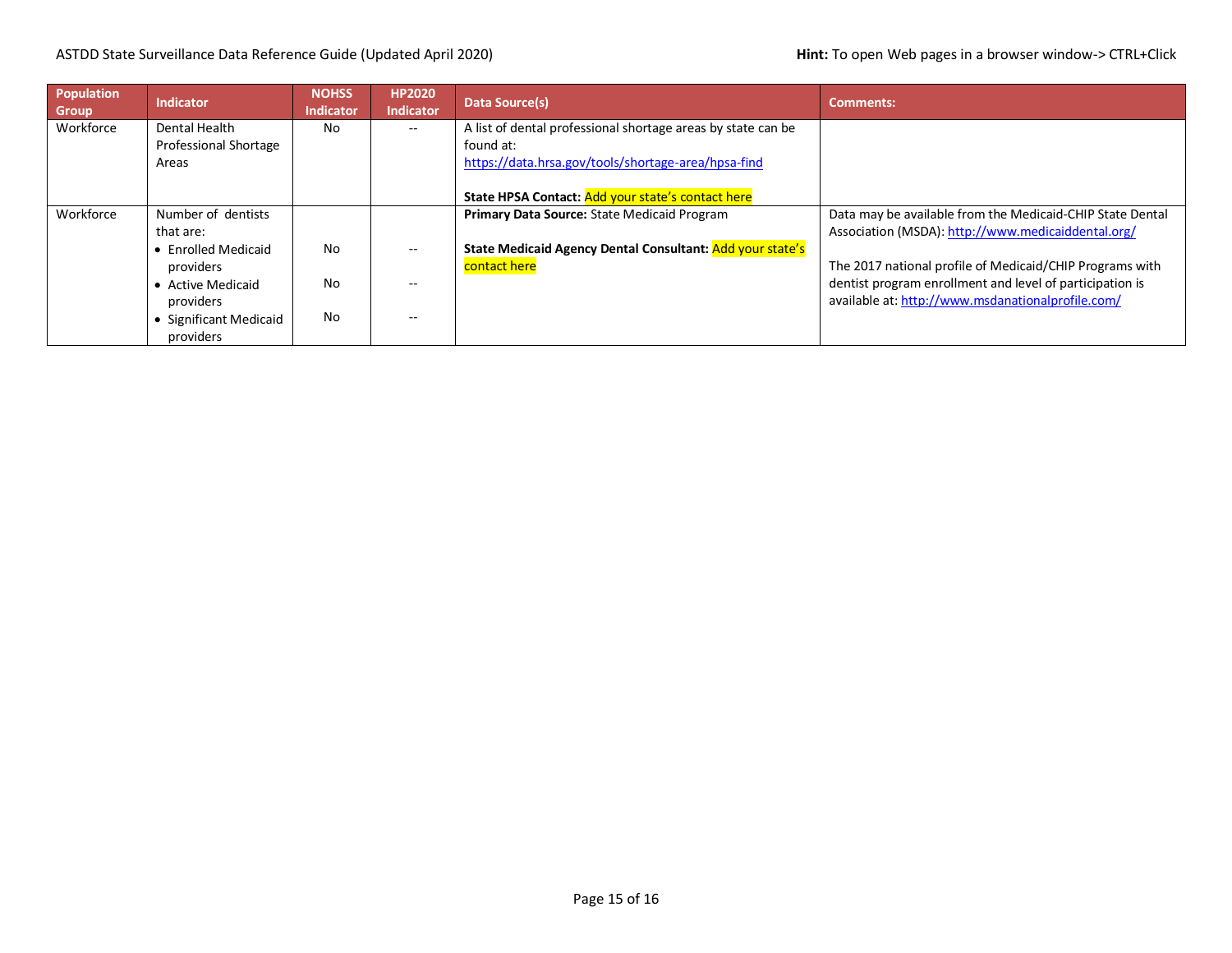## ASTDD State Surveillance Data Reference Guide (Updated April 2020) **Hint:** To open Web pages in a browser window-> CTRL+Click

| Population<br><b>Group</b> | <b>Indicator</b>             | <b>NOHSS</b><br><b>Indicator</b> | <b>HP2020</b><br><b>Indicator</b> | Data Source(s)                                               | <b>Comments:</b>                                          |
|----------------------------|------------------------------|----------------------------------|-----------------------------------|--------------------------------------------------------------|-----------------------------------------------------------|
| Workforce                  | Dental Health                | No                               | --                                | A list of dental professional shortage areas by state can be |                                                           |
|                            | <b>Professional Shortage</b> |                                  |                                   | found at:                                                    |                                                           |
|                            | Areas                        |                                  |                                   | https://data.hrsa.gov/tools/shortage-area/hpsa-find          |                                                           |
|                            |                              |                                  |                                   |                                                              |                                                           |
|                            |                              |                                  |                                   | State HPSA Contact: Add your state's contact here            |                                                           |
| Workforce                  | Number of dentists           |                                  |                                   | Primary Data Source: State Medicaid Program                  | Data may be available from the Medicaid-CHIP State Dental |
|                            | that are:                    |                                  |                                   |                                                              | Association (MSDA): http://www.medicaiddental.org/        |
|                            | • Enrolled Medicaid          | <b>No</b>                        | --                                | State Medicaid Agency Dental Consultant: Add your state's    |                                                           |
|                            | providers                    |                                  |                                   | contact here                                                 | The 2017 national profile of Medicaid/CHIP Programs with  |
|                            | • Active Medicaid            | <b>No</b>                        | --                                |                                                              | dentist program enrollment and level of participation is  |
|                            | providers                    |                                  |                                   |                                                              | available at: http://www.msdanationalprofile.com/         |
|                            | • Significant Medicaid       | <b>No</b>                        | --                                |                                                              |                                                           |
|                            | providers                    |                                  |                                   |                                                              |                                                           |